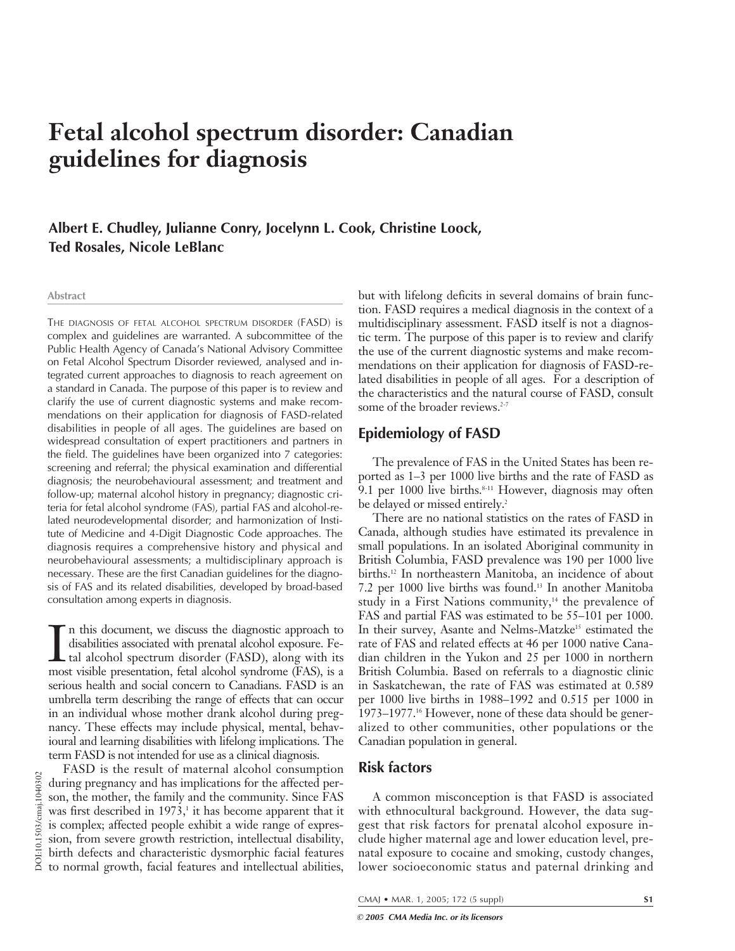# **Fetal alcohol spectrum disorder: Canadian guidelines for diagnosis**

# **Albert E. Chudley, Julianne Conry, Jocelynn L. Cook, Christine Loock, Ted Rosales, Nicole LeBlanc**

#### **Abstract**

THE DIAGNOSIS OF FETAL ALCOHOL SPECTRUM DISORDER (FASD) is complex and guidelines are warranted. A subcommittee of the Public Health Agency of Canada's National Advisory Committee on Fetal Alcohol Spectrum Disorder reviewed, analysed and integrated current approaches to diagnosis to reach agreement on a standard in Canada. The purpose of this paper is to review and clarify the use of current diagnostic systems and make recommendations on their application for diagnosis of FASD-related disabilities in people of all ages. The guidelines are based on widespread consultation of expert practitioners and partners in the field. The guidelines have been organized into 7 categories: screening and referral; the physical examination and differential diagnosis; the neurobehavioural assessment; and treatment and follow-up; maternal alcohol history in pregnancy; diagnostic criteria for fetal alcohol syndrome (FAS), partial FAS and alcohol-related neurodevelopmental disorder; and harmonization of Institute of Medicine and 4-Digit Diagnostic Code approaches. The diagnosis requires a comprehensive history and physical and neurobehavioural assessments; a multidisciplinary approach is necessary. These are the first Canadian guidelines for the diagnosis of FAS and its related disabilities, developed by broad-based consultation among experts in diagnosis.

In this document, we discuss the diagnostic approach to disabilities associated with prenatal alcohol exposure. Fetal alcohol spectrum disorder (FASD), along with its most visible presentation, fetal alcohol syndrome (FAS) n this document, we discuss the diagnostic approach to disabilities associated with prenatal alcohol exposure. Fetal alcohol spectrum disorder (FASD), along with its serious health and social concern to Canadians. FASD is an umbrella term describing the range of effects that can occur in an individual whose mother drank alcohol during pregnancy. These effects may include physical, mental, behavioural and learning disabilities with lifelong implications. The term FASD is not intended for use as a clinical diagnosis.

FASD is the result of maternal alcohol consumption during pregnancy and has implications for the affected person, the mother, the family and the community. Since FAS was first described in  $1973$ ,<sup>1</sup> it has become apparent that it is complex; affected people exhibit a wide range of expression, from severe growth restriction, intellectual disability, birth defects and characteristic dysmorphic facial features to normal growth, facial features and intellectual abilities,

but with lifelong deficits in several domains of brain function. FASD requires a medical diagnosis in the context of a multidisciplinary assessment. FASD itself is not a diagnostic term. The purpose of this paper is to review and clarify the use of the current diagnostic systems and make recommendations on their application for diagnosis of FASD-related disabilities in people of all ages. For a description of the characteristics and the natural course of FASD, consult some of the broader reviews.<sup>2-7</sup>

### **Epidemiology of FASD**

The prevalence of FAS in the United States has been reported as 1–3 per 1000 live births and the rate of FASD as 9.1 per 1000 live births. $8-11$  However, diagnosis may often be delayed or missed entirely.<sup>2</sup>

There are no national statistics on the rates of FASD in Canada, although studies have estimated its prevalence in small populations. In an isolated Aboriginal community in British Columbia, FASD prevalence was 190 per 1000 live births.12 In northeastern Manitoba, an incidence of about 7.2 per 1000 live births was found.13 In another Manitoba study in a First Nations community, $14$  the prevalence of FAS and partial FAS was estimated to be 55–101 per 1000. In their survey, Asante and Nelms-Matzke<sup>15</sup> estimated the rate of FAS and related effects at 46 per 1000 native Canadian children in the Yukon and 25 per 1000 in northern British Columbia. Based on referrals to a diagnostic clinic in Saskatchewan, the rate of FAS was estimated at 0.589 per 1000 live births in 1988–1992 and 0.515 per 1000 in 1973–1977.16 However, none of these data should be generalized to other communities, other populations or the Canadian population in general.

### **Risk factors**

A common misconception is that FASD is associated with ethnocultural background. However, the data suggest that risk factors for prenatal alcohol exposure include higher maternal age and lower education level, prenatal exposure to cocaine and smoking, custody changes, lower socioeconomic status and paternal drinking and

CMAJ • MAR. 1, 2005; 172 (5 suppl) **S1**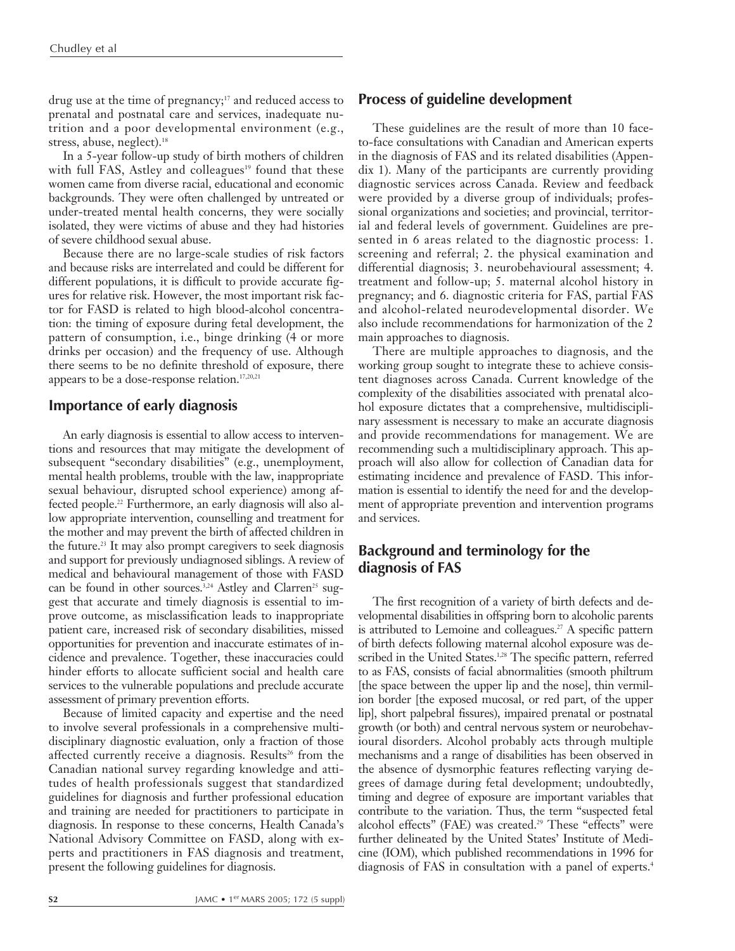drug use at the time of pregnancy; $17$  and reduced access to prenatal and postnatal care and services, inadequate nutrition and a poor developmental environment (e.g., stress, abuse, neglect).<sup>18</sup>

In a 5-year follow-up study of birth mothers of children with full FAS, Astley and colleagues<sup>19</sup> found that these women came from diverse racial, educational and economic backgrounds. They were often challenged by untreated or under-treated mental health concerns, they were socially isolated, they were victims of abuse and they had histories of severe childhood sexual abuse.

Because there are no large-scale studies of risk factors and because risks are interrelated and could be different for different populations, it is difficult to provide accurate figures for relative risk. However, the most important risk factor for FASD is related to high blood-alcohol concentration: the timing of exposure during fetal development, the pattern of consumption, i.e., binge drinking (4 or more drinks per occasion) and the frequency of use. Although there seems to be no definite threshold of exposure, there appears to be a dose-response relation.<sup>17,20,21</sup>

# **Importance of early diagnosis**

An early diagnosis is essential to allow access to interventions and resources that may mitigate the development of subsequent "secondary disabilities" (e.g., unemployment, mental health problems, trouble with the law, inappropriate sexual behaviour, disrupted school experience) among affected people.<sup>22</sup> Furthermore, an early diagnosis will also allow appropriate intervention, counselling and treatment for the mother and may prevent the birth of affected children in the future.23 It may also prompt caregivers to seek diagnosis and support for previously undiagnosed siblings. A review of medical and behavioural management of those with FASD can be found in other sources.<sup>3,24</sup> Astley and Clarren<sup>25</sup> suggest that accurate and timely diagnosis is essential to improve outcome, as misclassification leads to inappropriate patient care, increased risk of secondary disabilities, missed opportunities for prevention and inaccurate estimates of incidence and prevalence. Together, these inaccuracies could hinder efforts to allocate sufficient social and health care services to the vulnerable populations and preclude accurate assessment of primary prevention efforts.

Because of limited capacity and expertise and the need to involve several professionals in a comprehensive multidisciplinary diagnostic evaluation, only a fraction of those affected currently receive a diagnosis. Results<sup>26</sup> from the Canadian national survey regarding knowledge and attitudes of health professionals suggest that standardized guidelines for diagnosis and further professional education and training are needed for practitioners to participate in diagnosis. In response to these concerns, Health Canada's National Advisory Committee on FASD, along with experts and practitioners in FAS diagnosis and treatment, present the following guidelines for diagnosis.

# **Process of guideline development**

These guidelines are the result of more than 10 faceto-face consultations with Canadian and American experts in the diagnosis of FAS and its related disabilities (Appendix 1). Many of the participants are currently providing diagnostic services across Canada. Review and feedback were provided by a diverse group of individuals; professional organizations and societies; and provincial, territorial and federal levels of government. Guidelines are presented in 6 areas related to the diagnostic process: 1. screening and referral; 2. the physical examination and differential diagnosis; 3. neurobehavioural assessment; 4. treatment and follow-up; 5. maternal alcohol history in pregnancy; and 6. diagnostic criteria for FAS, partial FAS and alcohol-related neurodevelopmental disorder. We also include recommendations for harmonization of the 2 main approaches to diagnosis.

There are multiple approaches to diagnosis, and the working group sought to integrate these to achieve consistent diagnoses across Canada. Current knowledge of the complexity of the disabilities associated with prenatal alcohol exposure dictates that a comprehensive, multidisciplinary assessment is necessary to make an accurate diagnosis and provide recommendations for management. We are recommending such a multidisciplinary approach. This approach will also allow for collection of Canadian data for estimating incidence and prevalence of FASD. This information is essential to identify the need for and the development of appropriate prevention and intervention programs and services.

# **Background and terminology for the diagnosis of FAS**

The first recognition of a variety of birth defects and developmental disabilities in offspring born to alcoholic parents is attributed to Lemoine and colleagues.<sup>27</sup> A specific pattern of birth defects following maternal alcohol exposure was described in the United States.<sup>1,28</sup> The specific pattern, referred to as FAS, consists of facial abnormalities (smooth philtrum [the space between the upper lip and the nose], thin vermilion border [the exposed mucosal, or red part, of the upper lip], short palpebral fissures), impaired prenatal or postnatal growth (or both) and central nervous system or neurobehavioural disorders. Alcohol probably acts through multiple mechanisms and a range of disabilities has been observed in the absence of dysmorphic features reflecting varying degrees of damage during fetal development; undoubtedly, timing and degree of exposure are important variables that contribute to the variation. Thus, the term "suspected fetal alcohol effects" (FAE) was created.<sup>29</sup> These "effects" were further delineated by the United States' Institute of Medicine (IOM), which published recommendations in 1996 for diagnosis of FAS in consultation with a panel of experts.<sup>4</sup>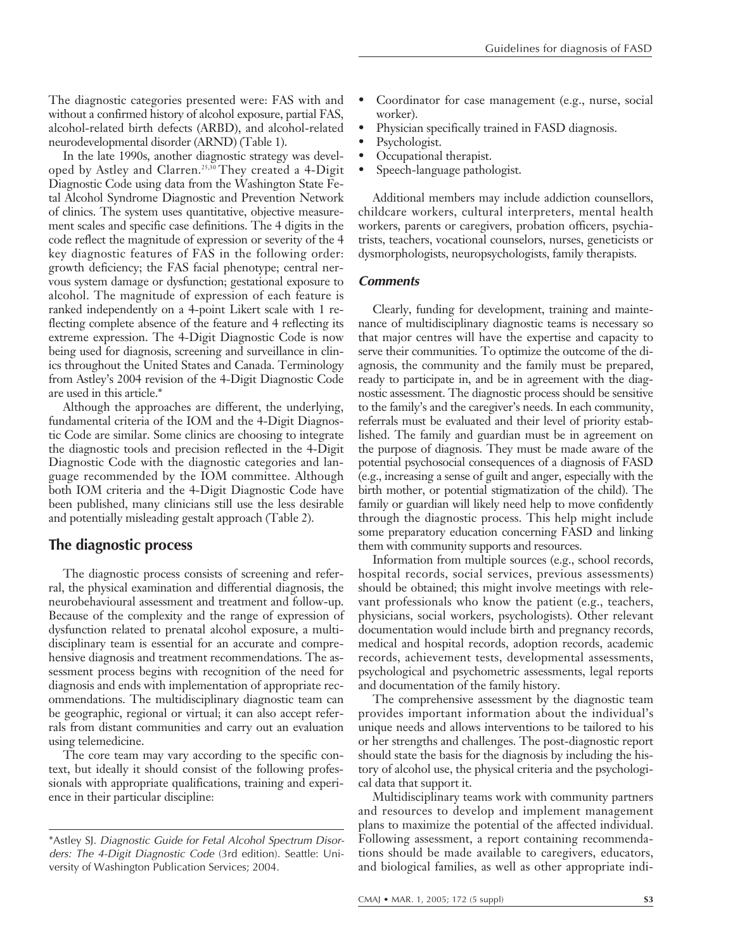The diagnostic categories presented were: FAS with and without a confirmed history of alcohol exposure, partial FAS, alcohol-related birth defects (ARBD), and alcohol-related neurodevelopmental disorder (ARND) (Table 1).

In the late 1990s, another diagnostic strategy was developed by Astley and Clarren.<sup>25,30</sup> They created a 4-Digit Diagnostic Code using data from the Washington State Fetal Alcohol Syndrome Diagnostic and Prevention Network of clinics. The system uses quantitative, objective measurement scales and specific case definitions. The 4 digits in the code reflect the magnitude of expression or severity of the 4 key diagnostic features of FAS in the following order: growth deficiency; the FAS facial phenotype; central nervous system damage or dysfunction; gestational exposure to alcohol. The magnitude of expression of each feature is ranked independently on a 4-point Likert scale with 1 reflecting complete absence of the feature and 4 reflecting its extreme expression. The 4-Digit Diagnostic Code is now being used for diagnosis, screening and surveillance in clinics throughout the United States and Canada. Terminology from Astley's 2004 revision of the 4-Digit Diagnostic Code are used in this article.\*

Although the approaches are different, the underlying, fundamental criteria of the IOM and the 4-Digit Diagnostic Code are similar. Some clinics are choosing to integrate the diagnostic tools and precision reflected in the 4-Digit Diagnostic Code with the diagnostic categories and language recommended by the IOM committee. Although both IOM criteria and the 4-Digit Diagnostic Code have been published, many clinicians still use the less desirable and potentially misleading gestalt approach (Table 2).

### **The diagnostic process**

The diagnostic process consists of screening and referral, the physical examination and differential diagnosis, the neurobehavioural assessment and treatment and follow-up. Because of the complexity and the range of expression of dysfunction related to prenatal alcohol exposure, a multidisciplinary team is essential for an accurate and comprehensive diagnosis and treatment recommendations. The assessment process begins with recognition of the need for diagnosis and ends with implementation of appropriate recommendations. The multidisciplinary diagnostic team can be geographic, regional or virtual; it can also accept referrals from distant communities and carry out an evaluation using telemedicine.

The core team may vary according to the specific context, but ideally it should consist of the following professionals with appropriate qualifications, training and experience in their particular discipline:

- Coordinator for case management (e.g., nurse, social worker).
- Physician specifically trained in FASD diagnosis.
- Psychologist.
- Occupational therapist.<br>• Speech-language pathol
- Speech-language pathologist.

Additional members may include addiction counsellors, childcare workers, cultural interpreters, mental health workers, parents or caregivers, probation officers, psychiatrists, teachers, vocational counselors, nurses, geneticists or dysmorphologists, neuropsychologists, family therapists.

#### **Comments**

Clearly, funding for development, training and maintenance of multidisciplinary diagnostic teams is necessary so that major centres will have the expertise and capacity to serve their communities. To optimize the outcome of the diagnosis, the community and the family must be prepared, ready to participate in, and be in agreement with the diagnostic assessment. The diagnostic process should be sensitive to the family's and the caregiver's needs. In each community, referrals must be evaluated and their level of priority established. The family and guardian must be in agreement on the purpose of diagnosis. They must be made aware of the potential psychosocial consequences of a diagnosis of FASD (e.g., increasing a sense of guilt and anger, especially with the birth mother, or potential stigmatization of the child). The family or guardian will likely need help to move confidently through the diagnostic process. This help might include some preparatory education concerning FASD and linking them with community supports and resources.

Information from multiple sources (e.g., school records, hospital records, social services, previous assessments) should be obtained; this might involve meetings with relevant professionals who know the patient (e.g., teachers, physicians, social workers, psychologists). Other relevant documentation would include birth and pregnancy records, medical and hospital records, adoption records, academic records, achievement tests, developmental assessments, psychological and psychometric assessments, legal reports and documentation of the family history.

The comprehensive assessment by the diagnostic team provides important information about the individual's unique needs and allows interventions to be tailored to his or her strengths and challenges. The post-diagnostic report should state the basis for the diagnosis by including the history of alcohol use, the physical criteria and the psychological data that support it.

Multidisciplinary teams work with community partners and resources to develop and implement management plans to maximize the potential of the affected individual. Following assessment, a report containing recommendations should be made available to caregivers, educators, and biological families, as well as other appropriate indi-

<sup>\*</sup>Astley SJ. Diagnostic Guide for Fetal Alcohol Spectrum Disorders: The 4-Digit Diagnostic Code (3rd edition). Seattle: University of Washington Publication Services; 2004.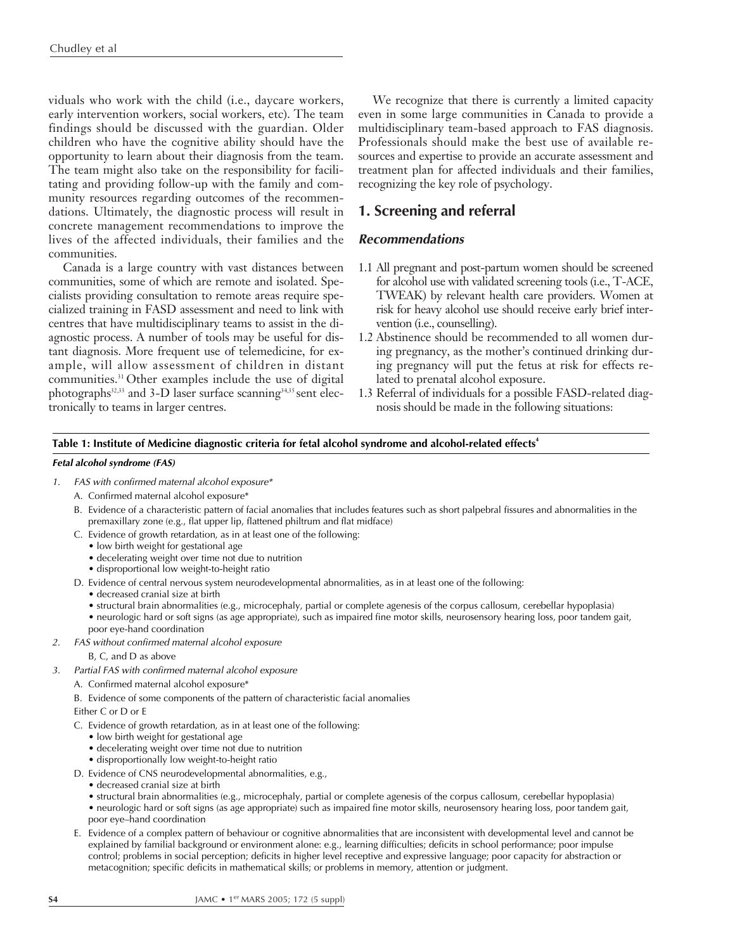viduals who work with the child (i.e., daycare workers, early intervention workers, social workers, etc). The team findings should be discussed with the guardian. Older children who have the cognitive ability should have the opportunity to learn about their diagnosis from the team. The team might also take on the responsibility for facilitating and providing follow-up with the family and community resources regarding outcomes of the recommendations. Ultimately, the diagnostic process will result in concrete management recommendations to improve the lives of the affected individuals, their families and the communities.

Canada is a large country with vast distances between communities, some of which are remote and isolated. Specialists providing consultation to remote areas require specialized training in FASD assessment and need to link with centres that have multidisciplinary teams to assist in the diagnostic process. A number of tools may be useful for distant diagnosis. More frequent use of telemedicine, for example, will allow assessment of children in distant communities.31 Other examples include the use of digital photographs<sup>32,33</sup> and 3-D laser surface scanning<sup>34,35</sup> sent electronically to teams in larger centres.

We recognize that there is currently a limited capacity even in some large communities in Canada to provide a multidisciplinary team-based approach to FAS diagnosis. Professionals should make the best use of available resources and expertise to provide an accurate assessment and treatment plan for affected individuals and their families, recognizing the key role of psychology.

# **1. Screening and referral**

### **Recommendations**

- 1.1 All pregnant and post-partum women should be screened for alcohol use with validated screening tools (i.e., T-ACE, TWEAK) by relevant health care providers. Women at risk for heavy alcohol use should receive early brief intervention (i.e., counselling).
- 1.2 Abstinence should be recommended to all women during pregnancy, as the mother's continued drinking during pregnancy will put the fetus at risk for effects related to prenatal alcohol exposure.
- 1.3 Referral of individuals for a possible FASD-related diagnosis should be made in the following situations:

### **Table 1: Institute of Medicine diagnostic criteria for fetal alcohol syndrome and alcohol-related effects<sup>4</sup>**

#### **Fetal alcohol syndrome (FAS)**

- 1. FAS with confirmed maternal alcohol exposure\*
	- A. Confirmed maternal alcohol exposure\*
	- B. Evidence of a characteristic pattern of facial anomalies that includes features such as short palpebral fissures and abnormalities in the premaxillary zone (e.g., flat upper lip, flattened philtrum and flat midface)
	- C. Evidence of growth retardation, as in at least one of the following:
	- low birth weight for gestational age
		- decelerating weight over time not due to nutrition
		- disproportional low weight-to-height ratio
	- D. Evidence of central nervous system neurodevelopmental abnormalities, as in at least one of the following:
		- decreased cranial size at birth
		- structural brain abnormalities (e.g., microcephaly, partial or complete agenesis of the corpus callosum, cerebellar hypoplasia)
		- neurologic hard or soft signs (as age appropriate), such as impaired fine motor skills, neurosensory hearing loss, poor tandem gait, poor eye-hand coordination
- 2. FAS without confirmed maternal alcohol exposure

#### B, C, and D as above

- 3. Partial FAS with confirmed maternal alcohol exposure
	- A. Confirmed maternal alcohol exposure\*

B. Evidence of some components of the pattern of characteristic facial anomalies

- Either C or D or E
- C. Evidence of growth retardation, as in at least one of the following:
	- low birth weight for gestational age
	- decelerating weight over time not due to nutrition
	- disproportionally low weight-to-height ratio
- D. Evidence of CNS neurodevelopmental abnormalities, e.g.,
	- decreased cranial size at birth
	- structural brain abnormalities (e.g., microcephaly, partial or complete agenesis of the corpus callosum, cerebellar hypoplasia)
	- neurologic hard or soft signs (as age appropriate) such as impaired fine motor skills, neurosensory hearing loss, poor tandem gait, poor eye–hand coordination
- E. Evidence of a complex pattern of behaviour or cognitive abnormalities that are inconsistent with developmental level and cannot be explained by familial background or environment alone: e.g., learning difficulties; deficits in school performance; poor impulse control; problems in social perception; deficits in higher level receptive and expressive language; poor capacity for abstraction or metacognition; specific deficits in mathematical skills; or problems in memory, attention or judgment.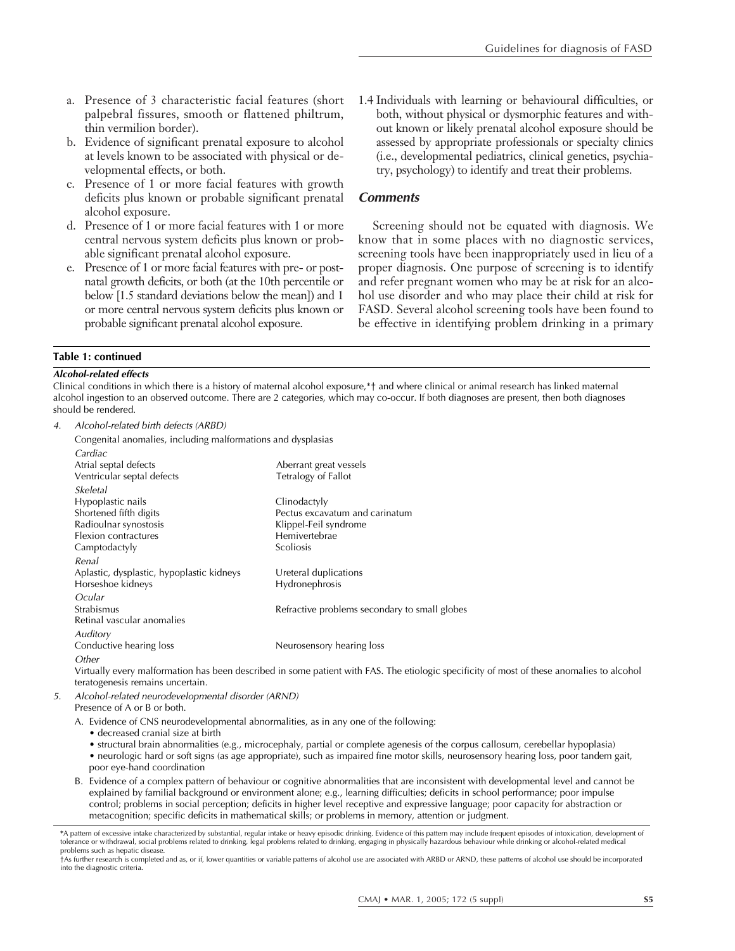- a. Presence of 3 characteristic facial features (short palpebral fissures, smooth or flattened philtrum, thin vermilion border).
- b. Evidence of significant prenatal exposure to alcohol at levels known to be associated with physical or developmental effects, or both.
- c. Presence of 1 or more facial features with growth deficits plus known or probable significant prenatal alcohol exposure.
- d. Presence of 1 or more facial features with 1 or more central nervous system deficits plus known or probable significant prenatal alcohol exposure.
- e. Presence of 1 or more facial features with pre- or postnatal growth deficits, or both (at the 10th percentile or below [1.5 standard deviations below the mean]) and 1 or more central nervous system deficits plus known or probable significant prenatal alcohol exposure.
- 1.4 Individuals with learning or behavioural difficulties, or both, without physical or dysmorphic features and without known or likely prenatal alcohol exposure should be assessed by appropriate professionals or specialty clinics (i.e., developmental pediatrics, clinical genetics, psychiatry, psychology) to identify and treat their problems.

### **Comments**

Screening should not be equated with diagnosis. We know that in some places with no diagnostic services, screening tools have been inappropriately used in lieu of a proper diagnosis. One purpose of screening is to identify and refer pregnant women who may be at risk for an alcohol use disorder and who may place their child at risk for FASD. Several alcohol screening tools have been found to be effective in identifying problem drinking in a primary

#### **Table 1: continued**

#### **Alcohol-related effects**

Clinical conditions in which there is a history of maternal alcohol exposure,\*† and where clinical or animal research has linked maternal alcohol ingestion to an observed outcome. There are 2 categories, which may co-occur. If both diagnoses are present, then both diagnoses should be rendered.

4. Alcohol-related birth defects (ARBD)

| Congenital anomalies, including malformations and dysplasias |                                               |
|--------------------------------------------------------------|-----------------------------------------------|
| Cardiac                                                      |                                               |
| Atrial septal defects                                        | Aberrant great vessels                        |
| Ventricular septal defects                                   | Tetralogy of Fallot                           |
| Skeletal                                                     |                                               |
| Hypoplastic nails                                            | Clinodactyly                                  |
| Shortened fifth digits                                       | Pectus excavatum and carinatum                |
| Radioulnar synostosis                                        | Klippel-Feil syndrome                         |
| Flexion contractures                                         | Hemivertebrae                                 |
| Camptodactyly                                                | Scoliosis                                     |
| Renal                                                        |                                               |
| Aplastic, dysplastic, hypoplastic kidneys                    | Ureteral duplications                         |
| Horseshoe kidneys                                            | Hydronephrosis                                |
| Ocular                                                       |                                               |
| Strabismus                                                   | Refractive problems secondary to small globes |
| Retinal vascular anomalies                                   |                                               |
| Auditory                                                     |                                               |
| Conductive hearing loss                                      | Neurosensory hearing loss                     |
| Other                                                        |                                               |
|                                                              |                                               |

Virtually every malformation has been described in some patient with FAS. The etiologic specificity of most of these anomalies to alcohol teratogenesis remains uncertain.

5. Alcohol-related neurodevelopmental disorder (ARND)

Presence of A or B or both.

A. Evidence of CNS neurodevelopmental abnormalities, as in any one of the following:

- decreased cranial size at birth
- structural brain abnormalities (e.g., microcephaly, partial or complete agenesis of the corpus callosum, cerebellar hypoplasia) • neurologic hard or soft signs (as age appropriate), such as impaired fine motor skills, neurosensory hearing loss, poor tandem gait, poor eye-hand coordination
- B. Evidence of a complex pattern of behaviour or cognitive abnormalities that are inconsistent with developmental level and cannot be explained by familial background or environment alone; e.g., learning difficulties; deficits in school performance; poor impulse control; problems in social perception; deficits in higher level receptive and expressive language; poor capacity for abstraction or metacognition; specific deficits in mathematical skills; or problems in memory, attention or judgment.

**<sup>\*</sup>**A pattern of excessive intake characterized by substantial, regular intake or heavy episodic drinking. Evidence of this pattern may include frequent episodes of intoxication, development of tolerance or withdrawal, social problems related to drinking, legal problems related to drinking, engaging in physically hazardous behaviour while drinking or alcohol-related medical problems such as hepatic disea

<sup>†</sup>As further research is completed and as, or if, lower quantities or variable patterns of alcohol use are associated with ARBD or ARND, these patterns of alcohol use should be incorporated into the diagnostic criteria.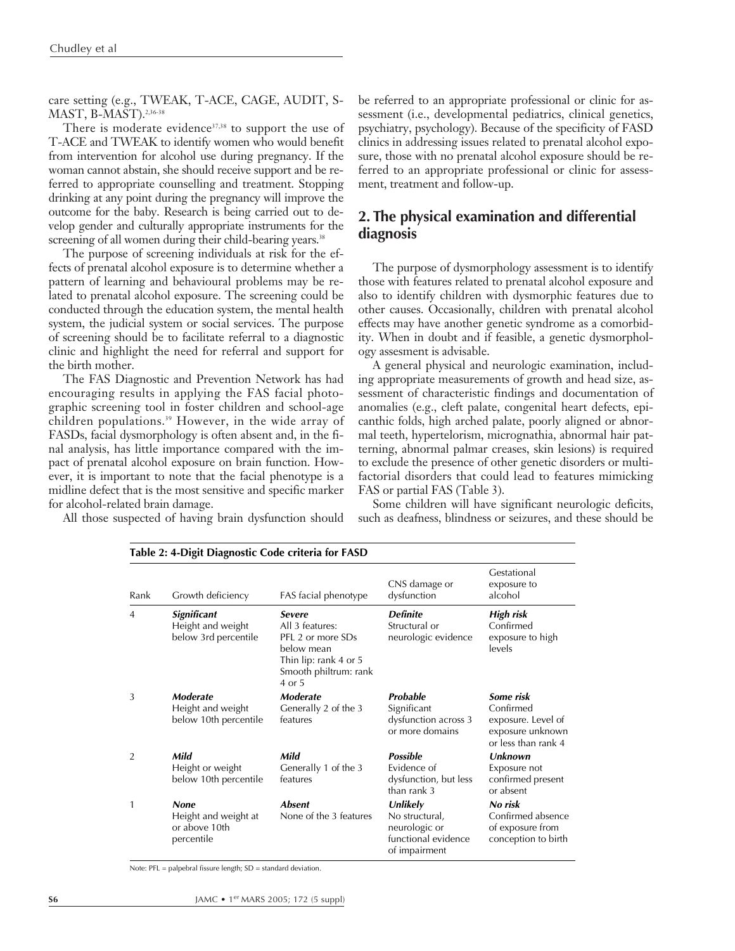care setting (e.g., TWEAK, T-ACE, CAGE, AUDIT, S-MAST, B-MAST).<sup>2,36-38</sup>

There is moderate evidence<sup>37,38</sup> to support the use of T-ACE and TWEAK to identify women who would benefit from intervention for alcohol use during pregnancy. If the woman cannot abstain, she should receive support and be referred to appropriate counselling and treatment. Stopping drinking at any point during the pregnancy will improve the outcome for the baby. Research is being carried out to develop gender and culturally appropriate instruments for the screening of all women during their child-bearing years.<sup>38</sup>

The purpose of screening individuals at risk for the effects of prenatal alcohol exposure is to determine whether a pattern of learning and behavioural problems may be related to prenatal alcohol exposure. The screening could be conducted through the education system, the mental health system, the judicial system or social services. The purpose of screening should be to facilitate referral to a diagnostic clinic and highlight the need for referral and support for the birth mother.

The FAS Diagnostic and Prevention Network has had encouraging results in applying the FAS facial photographic screening tool in foster children and school-age children populations.39 However, in the wide array of FASDs, facial dysmorphology is often absent and, in the final analysis, has little importance compared with the impact of prenatal alcohol exposure on brain function. However, it is important to note that the facial phenotype is a midline defect that is the most sensitive and specific marker for alcohol-related brain damage.

All those suspected of having brain dysfunction should

be referred to an appropriate professional or clinic for assessment (i.e., developmental pediatrics, clinical genetics, psychiatry, psychology). Because of the specificity of FASD clinics in addressing issues related to prenatal alcohol exposure, those with no prenatal alcohol exposure should be referred to an appropriate professional or clinic for assessment, treatment and follow-up.

# **2. The physical examination and differential diagnosis**

The purpose of dysmorphology assessment is to identify those with features related to prenatal alcohol exposure and also to identify children with dysmorphic features due to other causes. Occasionally, children with prenatal alcohol effects may have another genetic syndrome as a comorbidity. When in doubt and if feasible, a genetic dysmorphology assesment is advisable.

A general physical and neurologic examination, including appropriate measurements of growth and head size, assessment of characteristic findings and documentation of anomalies (e.g., cleft palate, congenital heart defects, epicanthic folds, high arched palate, poorly aligned or abnormal teeth, hypertelorism, micrognathia, abnormal hair patterning, abnormal palmar creases, skin lesions) is required to exclude the presence of other genetic disorders or multifactorial disorders that could lead to features mimicking FAS or partial FAS (Table 3).

Some children will have significant neurologic deficits, such as deafness, blindness or seizures, and these should be

|                | Table 2: 4-Digit Diagnostic Code criteria for FASD                 |                                                                                                                                 |                                                                                            |                                                                                         |  |  |
|----------------|--------------------------------------------------------------------|---------------------------------------------------------------------------------------------------------------------------------|--------------------------------------------------------------------------------------------|-----------------------------------------------------------------------------------------|--|--|
| Rank           | Growth deficiency                                                  | FAS facial phenotype                                                                                                            | CNS damage or<br>dysfunction                                                               | Gestational<br>exposure to<br>alcohol                                                   |  |  |
| $\overline{4}$ | <b>Significant</b><br>Height and weight<br>below 3rd percentile    | <b>Severe</b><br>All 3 features:<br>PFL 2 or more SDs<br>below mean<br>Thin lip: rank 4 or 5<br>Smooth philtrum: rank<br>4 or 5 | <b>Definite</b><br>Structural or<br>neurologic evidence                                    | High risk<br>Confirmed<br>exposure to high<br>levels                                    |  |  |
| 3              | Moderate<br>Height and weight<br>below 10th percentile             | Moderate<br>Generally 2 of the 3<br>features                                                                                    | <b>Probable</b><br>Significant<br>dysfunction across 3<br>or more domains                  | Some risk<br>Confirmed<br>exposure. Level of<br>exposure unknown<br>or less than rank 4 |  |  |
| $\overline{2}$ | Mild<br>Height or weight<br>below 10th percentile                  | Mild<br>Generally 1 of the 3<br>features                                                                                        | <b>Possible</b><br>Evidence of<br>dysfunction, but less<br>than rank 3                     | Unknown<br>Exposure not<br>confirmed present<br>or absent                               |  |  |
| 1              | <b>None</b><br>Height and weight at<br>or above 10th<br>percentile | <b>Absent</b><br>None of the 3 features                                                                                         | <b>Unlikely</b><br>No structural,<br>neurologic or<br>functional evidence<br>of impairment | No risk<br>Confirmed absence<br>of exposure from<br>conception to birth                 |  |  |

Note: PFL = palpebral fissure length; SD = standard deviation.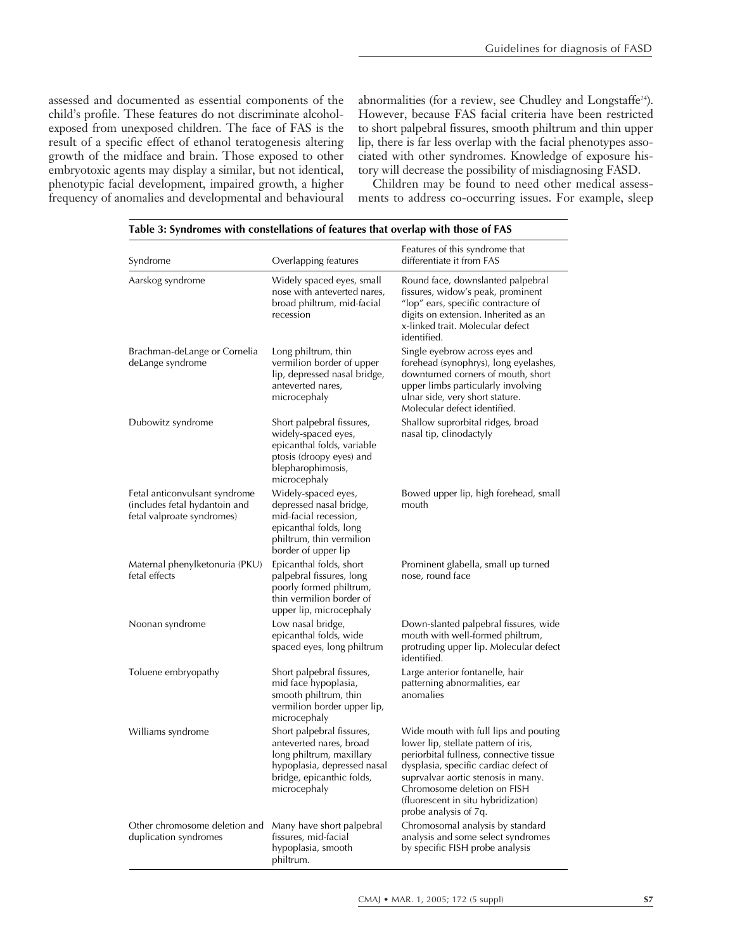assessed and documented as essential components of the child's profile. These features do not discriminate alcoholexposed from unexposed children. The face of FAS is the result of a specific effect of ethanol teratogenesis altering growth of the midface and brain. Those exposed to other embryotoxic agents may display a similar, but not identical, phenotypic facial development, impaired growth, a higher frequency of anomalies and developmental and behavioural abnormalities (for a review, see Chudley and Longstaffe<sup>24</sup>). However, because FAS facial criteria have been restricted to short palpebral fissures, smooth philtrum and thin upper lip, there is far less overlap with the facial phenotypes associated with other syndromes. Knowledge of exposure history will decrease the possibility of misdiagnosing FASD.

Children may be found to need other medical assessments to address co-occurring issues. For example, sleep

| Syndrome                                                                                     | Overlapping features                                                                                                                                         | Features of this syndrome that<br>differentiate it from FAS                                                                                                                                                                                                                                             |
|----------------------------------------------------------------------------------------------|--------------------------------------------------------------------------------------------------------------------------------------------------------------|---------------------------------------------------------------------------------------------------------------------------------------------------------------------------------------------------------------------------------------------------------------------------------------------------------|
| Aarskog syndrome                                                                             | Widely spaced eyes, small<br>nose with anteverted nares,<br>broad philtrum, mid-facial<br>recession                                                          | Round face, downslanted palpebral<br>fissures, widow's peak, prominent<br>"lop" ears, specific contracture of<br>digits on extension. Inherited as an<br>x-linked trait. Molecular defect<br>identified.                                                                                                |
| Brachman-deLange or Cornelia<br>deLange syndrome                                             | Long philtrum, thin<br>vermilion border of upper<br>lip, depressed nasal bridge,<br>anteverted nares,<br>microcephaly                                        | Single eyebrow across eyes and<br>forehead (synophrys), long eyelashes,<br>downturned corners of mouth, short<br>upper limbs particularly involving<br>ulnar side, very short stature.<br>Molecular defect identified.                                                                                  |
| Dubowitz syndrome                                                                            | Short palpebral fissures,<br>widely-spaced eyes,<br>epicanthal folds, variable<br>ptosis (droopy eyes) and<br>blepharophimosis,<br>microcephaly              | Shallow suprorbital ridges, broad<br>nasal tip, clinodactyly                                                                                                                                                                                                                                            |
| Fetal anticonvulsant syndrome<br>(includes fetal hydantoin and<br>fetal valproate syndromes) | Widely-spaced eyes,<br>depressed nasal bridge,<br>mid-facial recession,<br>epicanthal folds, long<br>philtrum, thin vermilion<br>border of upper lip         | Bowed upper lip, high forehead, small<br>mouth                                                                                                                                                                                                                                                          |
| Maternal phenylketonuria (PKU)<br>fetal effects                                              | Epicanthal folds, short<br>palpebral fissures, long<br>poorly formed philtrum,<br>thin vermilion border of<br>upper lip, microcephaly                        | Prominent glabella, small up turned<br>nose, round face                                                                                                                                                                                                                                                 |
| Noonan syndrome                                                                              | Low nasal bridge,<br>epicanthal folds, wide<br>spaced eyes, long philtrum                                                                                    | Down-slanted palpebral fissures, wide<br>mouth with well-formed philtrum,<br>protruding upper lip. Molecular defect<br>identified.                                                                                                                                                                      |
| Toluene embryopathy                                                                          | Short palpebral fissures,<br>mid face hypoplasia,<br>smooth philtrum, thin<br>vermilion border upper lip,<br>microcephaly                                    | Large anterior fontanelle, hair<br>patterning abnormalities, ear<br>anomalies                                                                                                                                                                                                                           |
| Williams syndrome                                                                            | Short palpebral fissures,<br>anteverted nares, broad<br>long philtrum, maxillary<br>hypoplasia, depressed nasal<br>bridge, epicanthic folds,<br>microcephaly | Wide mouth with full lips and pouting<br>lower lip, stellate pattern of iris,<br>periorbital fullness, connective tissue<br>dysplasia, specific cardiac defect of<br>suprvalvar aortic stenosis in many.<br>Chromosome deletion on FISH<br>(fluorescent in situ hybridization)<br>probe analysis of 7q. |
| Other chromosome deletion and<br>duplication syndromes                                       | Many have short palpebral<br>fissures, mid-facial<br>hypoplasia, smooth<br>philtrum.                                                                         | Chromosomal analysis by standard<br>analysis and some select syndromes<br>by specific FISH probe analysis                                                                                                                                                                                               |

#### **Table 3: Syndromes with constellations of features that overlap with those of FAS**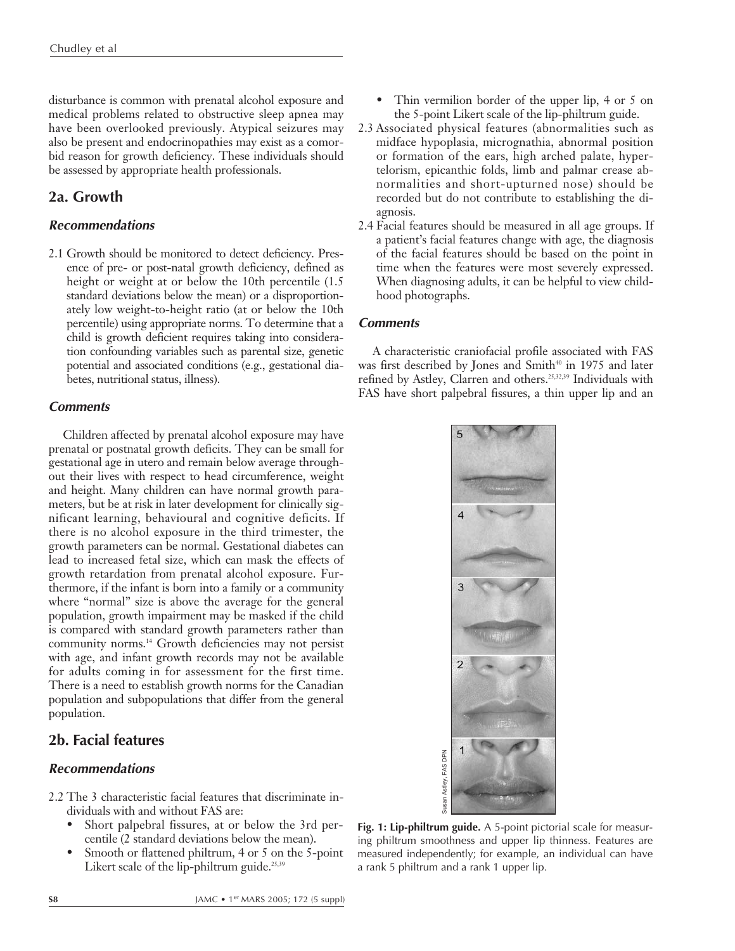disturbance is common with prenatal alcohol exposure and medical problems related to obstructive sleep apnea may have been overlooked previously. Atypical seizures may also be present and endocrinopathies may exist as a comorbid reason for growth deficiency. These individuals should be assessed by appropriate health professionals.

# **2a. Growth**

### **Recommendations**

2.1 Growth should be monitored to detect deficiency. Presence of pre- or post-natal growth deficiency, defined as height or weight at or below the 10th percentile (1.5 standard deviations below the mean) or a disproportionately low weight-to-height ratio (at or below the 10th percentile) using appropriate norms. To determine that a child is growth deficient requires taking into consideration confounding variables such as parental size, genetic potential and associated conditions (e.g., gestational diabetes, nutritional status, illness).

### **Comments**

Children affected by prenatal alcohol exposure may have prenatal or postnatal growth deficits. They can be small for gestational age in utero and remain below average throughout their lives with respect to head circumference, weight and height. Many children can have normal growth parameters, but be at risk in later development for clinically significant learning, behavioural and cognitive deficits. If there is no alcohol exposure in the third trimester, the growth parameters can be normal. Gestational diabetes can lead to increased fetal size, which can mask the effects of growth retardation from prenatal alcohol exposure. Furthermore, if the infant is born into a family or a community where "normal" size is above the average for the general population, growth impairment may be masked if the child is compared with standard growth parameters rather than community norms.14 Growth deficiencies may not persist with age, and infant growth records may not be available for adults coming in for assessment for the first time. There is a need to establish growth norms for the Canadian population and subpopulations that differ from the general population.

# **2b. Facial features**

### **Recommendations**

- 2.2 The 3 characteristic facial features that discriminate individuals with and without FAS are:
	- Short palpebral fissures, at or below the 3rd percentile (2 standard deviations below the mean).
	- Smooth or flattened philtrum, 4 or 5 on the 5-point Likert scale of the lip-philtrum guide.<sup>25,39</sup>
- **S8** JAMC 1<sup>er</sup> MARS 2005; 172 (5 suppl)
- Thin vermilion border of the upper lip, 4 or 5 on the 5-point Likert scale of the lip-philtrum guide.
- 2.3 Associated physical features (abnormalities such as midface hypoplasia, micrognathia, abnormal position or formation of the ears, high arched palate, hypertelorism, epicanthic folds, limb and palmar crease abnormalities and short-upturned nose) should be recorded but do not contribute to establishing the diagnosis.
- 2.4 Facial features should be measured in all age groups. If a patient's facial features change with age, the diagnosis of the facial features should be based on the point in time when the features were most severely expressed. When diagnosing adults, it can be helpful to view childhood photographs.

### **Comments**

A characteristic craniofacial profile associated with FAS was first described by Jones and Smith $40$  in 1975 and later refined by Astley, Clarren and others.<sup>25,32,39</sup> Individuals with FAS have short palpebral fissures, a thin upper lip and an



**Fig. 1: Lip-philtrum guide.** A 5-point pictorial scale for measuring philtrum smoothness and upper lip thinness. Features are measured independently; for example, an individual can have a rank 5 philtrum and a rank 1 upper lip.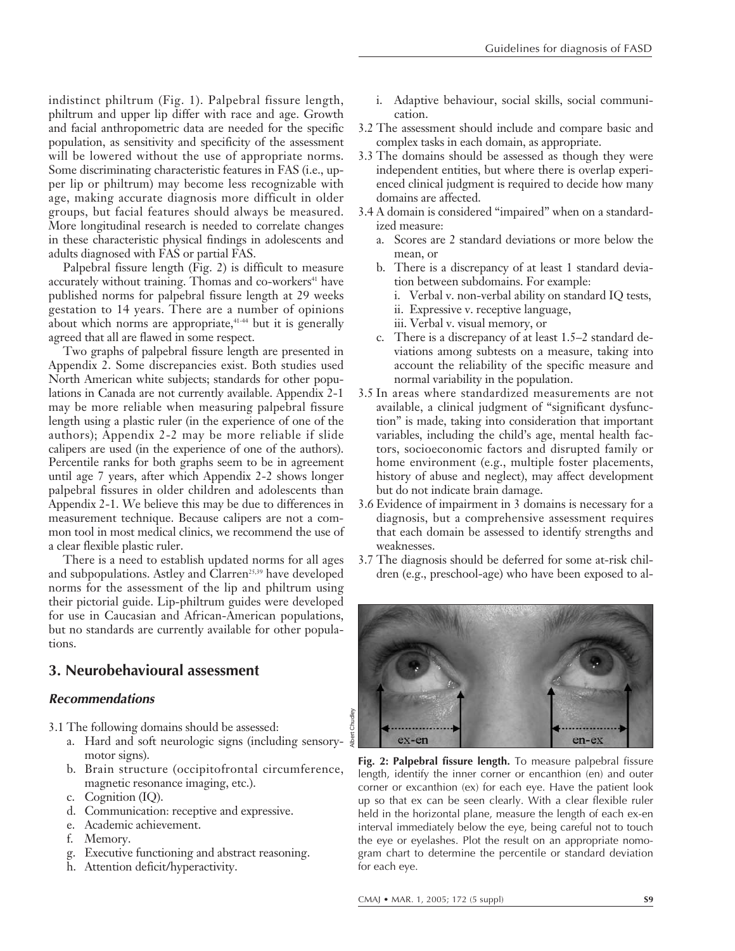indistinct philtrum (Fig. 1). Palpebral fissure length, philtrum and upper lip differ with race and age. Growth and facial anthropometric data are needed for the specific population, as sensitivity and specificity of the assessment will be lowered without the use of appropriate norms. Some discriminating characteristic features in FAS (i.e., upper lip or philtrum) may become less recognizable with age, making accurate diagnosis more difficult in older groups, but facial features should always be measured. More longitudinal research is needed to correlate changes in these characteristic physical findings in adolescents and adults diagnosed with FAS or partial FAS.

Palpebral fissure length (Fig. 2) is difficult to measure accurately without training. Thomas and co-workers<sup>41</sup> have published norms for palpebral fissure length at 29 weeks gestation to 14 years. There are a number of opinions about which norms are appropriate,<sup>41-44</sup> but it is generally agreed that all are flawed in some respect.

Two graphs of palpebral fissure length are presented in Appendix 2. Some discrepancies exist. Both studies used North American white subjects; standards for other populations in Canada are not currently available. Appendix 2-1 may be more reliable when measuring palpebral fissure length using a plastic ruler (in the experience of one of the authors); Appendix 2-2 may be more reliable if slide calipers are used (in the experience of one of the authors). Percentile ranks for both graphs seem to be in agreement until age 7 years, after which Appendix 2-2 shows longer palpebral fissures in older children and adolescents than Appendix 2-1. We believe this may be due to differences in measurement technique. Because calipers are not a common tool in most medical clinics, we recommend the use of a clear flexible plastic ruler.

There is a need to establish updated norms for all ages and subpopulations. Astley and Clarren<sup>25,39</sup> have developed norms for the assessment of the lip and philtrum using their pictorial guide. Lip-philtrum guides were developed for use in Caucasian and African-American populations, but no standards are currently available for other populations.

# **3. Neurobehavioural assessment**

# **Recommendations**

- 3.1 The following domains should be assessed:
	- a. Hard and soft neurologic signs (including sensorymotor signs).
	- b. Brain structure (occipitofrontal circumference, magnetic resonance imaging, etc.).
	- c. Cognition (IQ).
	- d. Communication: receptive and expressive.
	- e. Academic achievement.
	- f. Memory.
	- g. Executive functioning and abstract reasoning.
	- h. Attention deficit/hyperactivity.
- i. Adaptive behaviour, social skills, social communication.
- 3.2 The assessment should include and compare basic and complex tasks in each domain, as appropriate.
- 3.3 The domains should be assessed as though they were independent entities, but where there is overlap experienced clinical judgment is required to decide how many domains are affected.
- 3.4 A domain is considered "impaired" when on a standardized measure:
	- a. Scores are 2 standard deviations or more below the mean, or
	- b. There is a discrepancy of at least 1 standard deviation between subdomains. For example:
		- i. Verbal v. non-verbal ability on standard IQ tests,
		- ii. Expressive v. receptive language,
		- iii. Verbal v. visual memory, or
	- c. There is a discrepancy of at least 1.5–2 standard deviations among subtests on a measure, taking into account the reliability of the specific measure and normal variability in the population.
- 3.5 In areas where standardized measurements are not available, a clinical judgment of "significant dysfunction" is made, taking into consideration that important variables, including the child's age, mental health factors, socioeconomic factors and disrupted family or home environment (e.g., multiple foster placements, history of abuse and neglect), may affect development but do not indicate brain damage.
- 3.6 Evidence of impairment in 3 domains is necessary for a diagnosis, but a comprehensive assessment requires that each domain be assessed to identify strengths and weaknesses.
- 3.7 The diagnosis should be deferred for some at-risk children (e.g., preschool-age) who have been exposed to al-



**Fig. 2: Palpebral fissure length.** To measure palpebral fissure length, identify the inner corner or encanthion (en) and outer corner or excanthion (ex) for each eye. Have the patient look up so that ex can be seen clearly. With a clear flexible ruler held in the horizontal plane, measure the length of each ex-en interval immediately below the eye, being careful not to touch the eye or eyelashes. Plot the result on an appropriate nomogram chart to determine the percentile or standard deviation for each eye.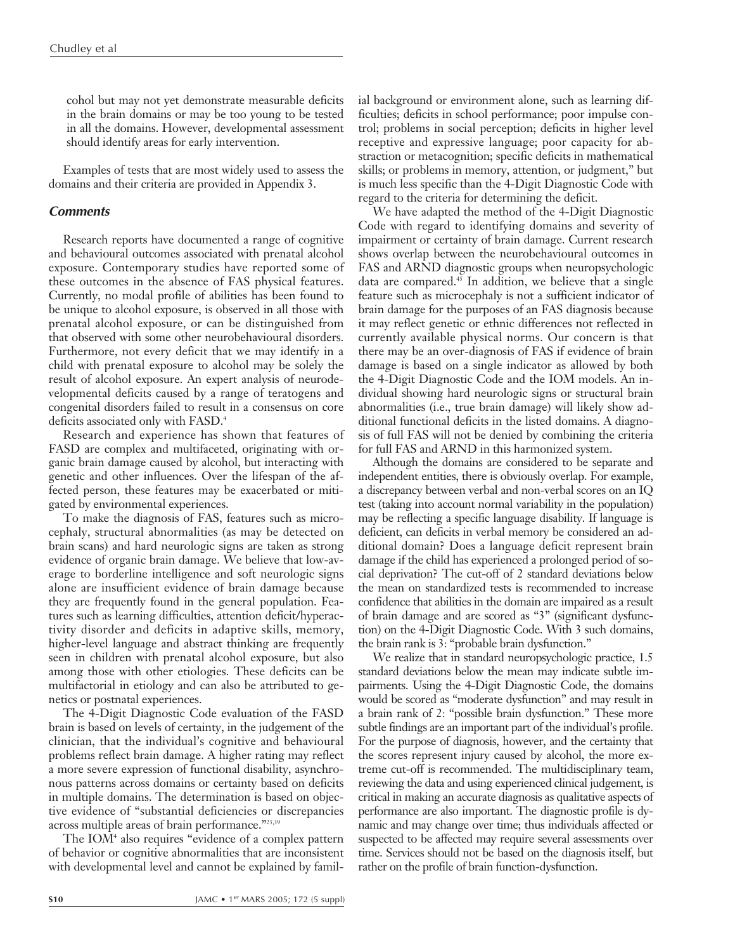cohol but may not yet demonstrate measurable deficits in the brain domains or may be too young to be tested in all the domains. However, developmental assessment should identify areas for early intervention.

Examples of tests that are most widely used to assess the domains and their criteria are provided in Appendix 3.

### **Comments**

Research reports have documented a range of cognitive and behavioural outcomes associated with prenatal alcohol exposure. Contemporary studies have reported some of these outcomes in the absence of FAS physical features. Currently, no modal profile of abilities has been found to be unique to alcohol exposure, is observed in all those with prenatal alcohol exposure, or can be distinguished from that observed with some other neurobehavioural disorders. Furthermore, not every deficit that we may identify in a child with prenatal exposure to alcohol may be solely the result of alcohol exposure. An expert analysis of neurodevelopmental deficits caused by a range of teratogens and congenital disorders failed to result in a consensus on core deficits associated only with FASD.<sup>4</sup>

Research and experience has shown that features of FASD are complex and multifaceted, originating with organic brain damage caused by alcohol, but interacting with genetic and other influences. Over the lifespan of the affected person, these features may be exacerbated or mitigated by environmental experiences.

To make the diagnosis of FAS, features such as microcephaly, structural abnormalities (as may be detected on brain scans) and hard neurologic signs are taken as strong evidence of organic brain damage. We believe that low-average to borderline intelligence and soft neurologic signs alone are insufficient evidence of brain damage because they are frequently found in the general population. Features such as learning difficulties, attention deficit/hyperactivity disorder and deficits in adaptive skills, memory, higher-level language and abstract thinking are frequently seen in children with prenatal alcohol exposure, but also among those with other etiologies. These deficits can be multifactorial in etiology and can also be attributed to genetics or postnatal experiences.

The 4-Digit Diagnostic Code evaluation of the FASD brain is based on levels of certainty, in the judgement of the clinician, that the individual's cognitive and behavioural problems reflect brain damage. A higher rating may reflect a more severe expression of functional disability, asynchronous patterns across domains or certainty based on deficits in multiple domains. The determination is based on objective evidence of "substantial deficiencies or discrepancies across multiple areas of brain performance."25,39

The IOM<sup>4</sup> also requires "evidence of a complex pattern of behavior or cognitive abnormalities that are inconsistent with developmental level and cannot be explained by familial background or environment alone, such as learning difficulties; deficits in school performance; poor impulse control; problems in social perception; deficits in higher level receptive and expressive language; poor capacity for abstraction or metacognition; specific deficits in mathematical skills; or problems in memory, attention, or judgment," but is much less specific than the 4-Digit Diagnostic Code with regard to the criteria for determining the deficit.

We have adapted the method of the 4-Digit Diagnostic Code with regard to identifying domains and severity of impairment or certainty of brain damage. Current research shows overlap between the neurobehavioural outcomes in FAS and ARND diagnostic groups when neuropsychologic data are compared.45 In addition, we believe that a single feature such as microcephaly is not a sufficient indicator of brain damage for the purposes of an FAS diagnosis because it may reflect genetic or ethnic differences not reflected in currently available physical norms. Our concern is that there may be an over-diagnosis of FAS if evidence of brain damage is based on a single indicator as allowed by both the 4-Digit Diagnostic Code and the IOM models. An individual showing hard neurologic signs or structural brain abnormalities (i.e., true brain damage) will likely show additional functional deficits in the listed domains. A diagnosis of full FAS will not be denied by combining the criteria for full FAS and ARND in this harmonized system.

Although the domains are considered to be separate and independent entities, there is obviously overlap. For example, a discrepancy between verbal and non-verbal scores on an IQ test (taking into account normal variability in the population) may be reflecting a specific language disability. If language is deficient, can deficits in verbal memory be considered an additional domain? Does a language deficit represent brain damage if the child has experienced a prolonged period of social deprivation? The cut-off of 2 standard deviations below the mean on standardized tests is recommended to increase confidence that abilities in the domain are impaired as a result of brain damage and are scored as "3" (significant dysfunction) on the 4-Digit Diagnostic Code. With 3 such domains, the brain rank is 3: "probable brain dysfunction."

We realize that in standard neuropsychologic practice, 1.5 standard deviations below the mean may indicate subtle impairments. Using the 4-Digit Diagnostic Code, the domains would be scored as "moderate dysfunction" and may result in a brain rank of 2: "possible brain dysfunction." These more subtle findings are an important part of the individual's profile. For the purpose of diagnosis, however, and the certainty that the scores represent injury caused by alcohol, the more extreme cut-off is recommended. The multidisciplinary team, reviewing the data and using experienced clinical judgement, is critical in making an accurate diagnosis as qualitative aspects of performance are also important. The diagnostic profile is dynamic and may change over time; thus individuals affected or suspected to be affected may require several assessments over time. Services should not be based on the diagnosis itself, but rather on the profile of brain function-dysfunction.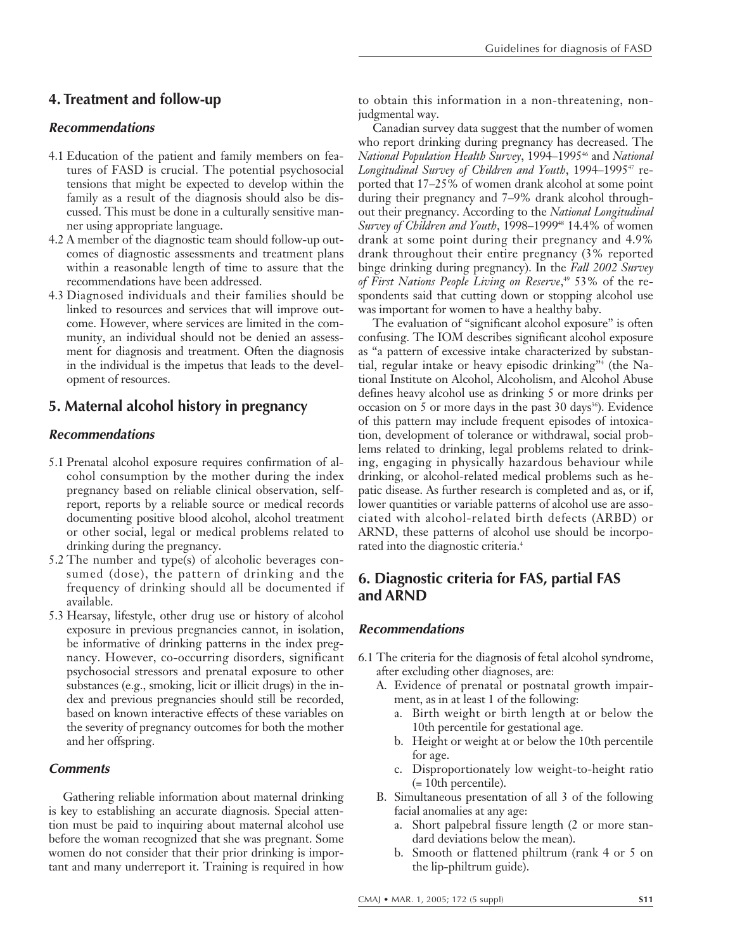# **4. Treatment and follow-up**

# **Recommendations**

- 4.1 Education of the patient and family members on features of FASD is crucial. The potential psychosocial tensions that might be expected to develop within the family as a result of the diagnosis should also be discussed. This must be done in a culturally sensitive manner using appropriate language.
- 4.2 A member of the diagnostic team should follow-up outcomes of diagnostic assessments and treatment plans within a reasonable length of time to assure that the recommendations have been addressed.
- 4.3 Diagnosed individuals and their families should be linked to resources and services that will improve outcome. However, where services are limited in the community, an individual should not be denied an assessment for diagnosis and treatment. Often the diagnosis in the individual is the impetus that leads to the development of resources.

# **5. Maternal alcohol history in pregnancy**

# **Recommendations**

- 5.1 Prenatal alcohol exposure requires confirmation of alcohol consumption by the mother during the index pregnancy based on reliable clinical observation, selfreport, reports by a reliable source or medical records documenting positive blood alcohol, alcohol treatment or other social, legal or medical problems related to drinking during the pregnancy.
- 5.2 The number and type(s) of alcoholic beverages consumed (dose), the pattern of drinking and the frequency of drinking should all be documented if available.
- 5.3 Hearsay, lifestyle, other drug use or history of alcohol exposure in previous pregnancies cannot, in isolation, be informative of drinking patterns in the index pregnancy. However, co-occurring disorders, significant psychosocial stressors and prenatal exposure to other substances (e.g., smoking, licit or illicit drugs) in the index and previous pregnancies should still be recorded, based on known interactive effects of these variables on the severity of pregnancy outcomes for both the mother and her offspring.

# **Comments**

Gathering reliable information about maternal drinking is key to establishing an accurate diagnosis. Special attention must be paid to inquiring about maternal alcohol use before the woman recognized that she was pregnant. Some women do not consider that their prior drinking is important and many underreport it. Training is required in how

to obtain this information in a non-threatening, nonjudgmental way.

Canadian survey data suggest that the number of women who report drinking during pregnancy has decreased. The *National Population Health Survey*, 1994–1995<sup>46</sup> and *National* Longitudinal Survey of Children and Youth, 1994–1995<sup>47</sup> reported that 17–25% of women drank alcohol at some point during their pregnancy and 7–9% drank alcohol throughout their pregnancy. According to the *National Longitudinal Survey of Children and Youth*, 1998–199948 14.4% of women drank at some point during their pregnancy and 4.9% drank throughout their entire pregnancy (3% reported binge drinking during pregnancy). In the *Fall 2002 Survey of First Nations People Living on Reserve*, <sup>49</sup> 53% of the respondents said that cutting down or stopping alcohol use was important for women to have a healthy baby.

The evaluation of "significant alcohol exposure" is often confusing. The IOM describes significant alcohol exposure as "a pattern of excessive intake characterized by substantial, regular intake or heavy episodic drinking"<sup>4</sup> (the National Institute on Alcohol, Alcoholism, and Alcohol Abuse defines heavy alcohol use as drinking 5 or more drinks per occasion on  $5$  or more days in the past  $30 \text{ days}^{36}$ ). Evidence of this pattern may include frequent episodes of intoxication, development of tolerance or withdrawal, social problems related to drinking, legal problems related to drinking, engaging in physically hazardous behaviour while drinking, or alcohol-related medical problems such as hepatic disease. As further research is completed and as, or if, lower quantities or variable patterns of alcohol use are associated with alcohol-related birth defects (ARBD) or ARND, these patterns of alcohol use should be incorporated into the diagnostic criteria.4

# **6. Diagnostic criteria for FAS, partial FAS and ARND**

# **Recommendations**

- 6.1 The criteria for the diagnosis of fetal alcohol syndrome, after excluding other diagnoses, are:
	- A. Evidence of prenatal or postnatal growth impairment, as in at least 1 of the following:
		- a. Birth weight or birth length at or below the 10th percentile for gestational age.
		- b. Height or weight at or below the 10th percentile for age.
		- c. Disproportionately low weight-to-height ratio (= 10th percentile).
	- B. Simultaneous presentation of all 3 of the following facial anomalies at any age:
		- a. Short palpebral fissure length (2 or more standard deviations below the mean).
		- b. Smooth or flattened philtrum (rank 4 or 5 on the lip-philtrum guide).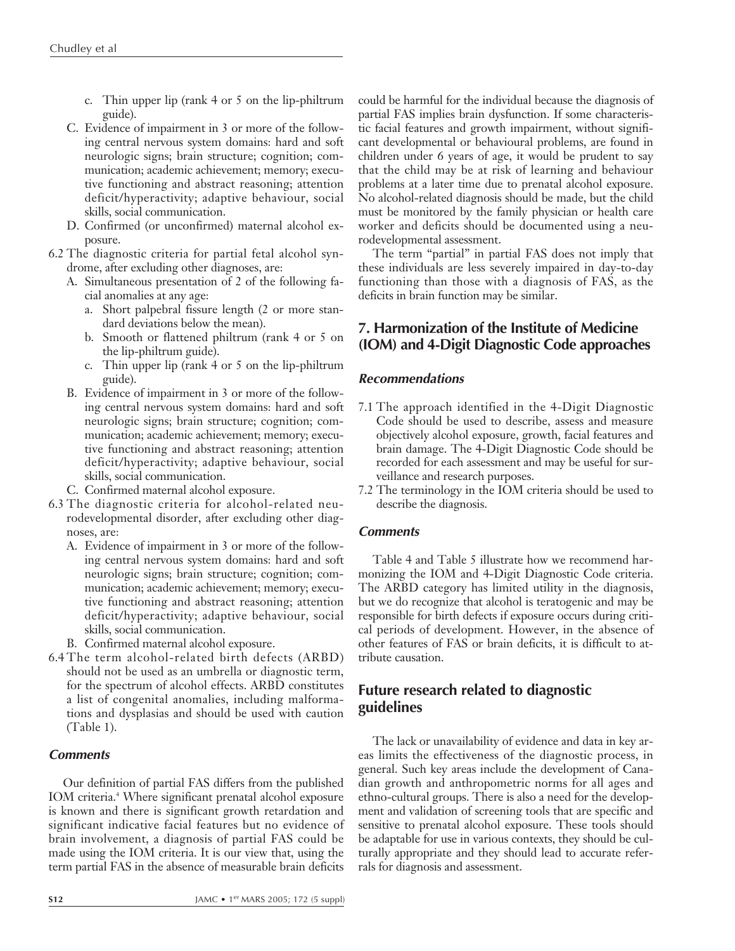- c. Thin upper lip (rank 4 or 5 on the lip-philtrum guide).
- C. Evidence of impairment in 3 or more of the following central nervous system domains: hard and soft neurologic signs; brain structure; cognition; communication; academic achievement; memory; executive functioning and abstract reasoning; attention deficit/hyperactivity; adaptive behaviour, social skills, social communication.
- D. Confirmed (or unconfirmed) maternal alcohol exposure.
- 6.2 The diagnostic criteria for partial fetal alcohol syndrome, after excluding other diagnoses, are:
	- A. Simultaneous presentation of 2 of the following facial anomalies at any age:
		- a. Short palpebral fissure length (2 or more standard deviations below the mean).
		- b. Smooth or flattened philtrum (rank 4 or 5 on the lip-philtrum guide).
		- c. Thin upper lip (rank 4 or 5 on the lip-philtrum guide).
	- B. Evidence of impairment in 3 or more of the following central nervous system domains: hard and soft neurologic signs; brain structure; cognition; communication; academic achievement; memory; executive functioning and abstract reasoning; attention deficit/hyperactivity; adaptive behaviour, social skills, social communication.
	- C. Confirmed maternal alcohol exposure.
- 6.3 The diagnostic criteria for alcohol-related neurodevelopmental disorder, after excluding other diagnoses, are:
	- A. Evidence of impairment in 3 or more of the following central nervous system domains: hard and soft neurologic signs; brain structure; cognition; communication; academic achievement; memory; executive functioning and abstract reasoning; attention deficit/hyperactivity; adaptive behaviour, social skills, social communication.
	- B. Confirmed maternal alcohol exposure.
- 6.4 The term alcohol-related birth defects (ARBD) should not be used as an umbrella or diagnostic term, for the spectrum of alcohol effects. ARBD constitutes a list of congenital anomalies, including malformations and dysplasias and should be used with caution (Table 1).

### **Comments**

Our definition of partial FAS differs from the published IOM criteria.<sup>4</sup> Where significant prenatal alcohol exposure is known and there is significant growth retardation and significant indicative facial features but no evidence of brain involvement, a diagnosis of partial FAS could be made using the IOM criteria. It is our view that, using the term partial FAS in the absence of measurable brain deficits could be harmful for the individual because the diagnosis of partial FAS implies brain dysfunction. If some characteristic facial features and growth impairment, without significant developmental or behavioural problems, are found in children under 6 years of age, it would be prudent to say that the child may be at risk of learning and behaviour problems at a later time due to prenatal alcohol exposure. No alcohol-related diagnosis should be made, but the child must be monitored by the family physician or health care worker and deficits should be documented using a neurodevelopmental assessment.

The term "partial" in partial FAS does not imply that these individuals are less severely impaired in day-to-day functioning than those with a diagnosis of FAS, as the deficits in brain function may be similar.

# **7. Harmonization of the Institute of Medicine (IOM) and 4-Digit Diagnostic Code approaches**

### **Recommendations**

- 7.1 The approach identified in the 4-Digit Diagnostic Code should be used to describe, assess and measure objectively alcohol exposure, growth, facial features and brain damage. The 4-Digit Diagnostic Code should be recorded for each assessment and may be useful for surveillance and research purposes.
- 7.2 The terminology in the IOM criteria should be used to describe the diagnosis.

### **Comments**

Table 4 and Table 5 illustrate how we recommend harmonizing the IOM and 4-Digit Diagnostic Code criteria. The ARBD category has limited utility in the diagnosis, but we do recognize that alcohol is teratogenic and may be responsible for birth defects if exposure occurs during critical periods of development. However, in the absence of other features of FAS or brain deficits, it is difficult to attribute causation.

# **Future research related to diagnostic guidelines**

The lack or unavailability of evidence and data in key areas limits the effectiveness of the diagnostic process, in general. Such key areas include the development of Canadian growth and anthropometric norms for all ages and ethno-cultural groups. There is also a need for the development and validation of screening tools that are specific and sensitive to prenatal alcohol exposure. These tools should be adaptable for use in various contexts, they should be culturally appropriate and they should lead to accurate referrals for diagnosis and assessment.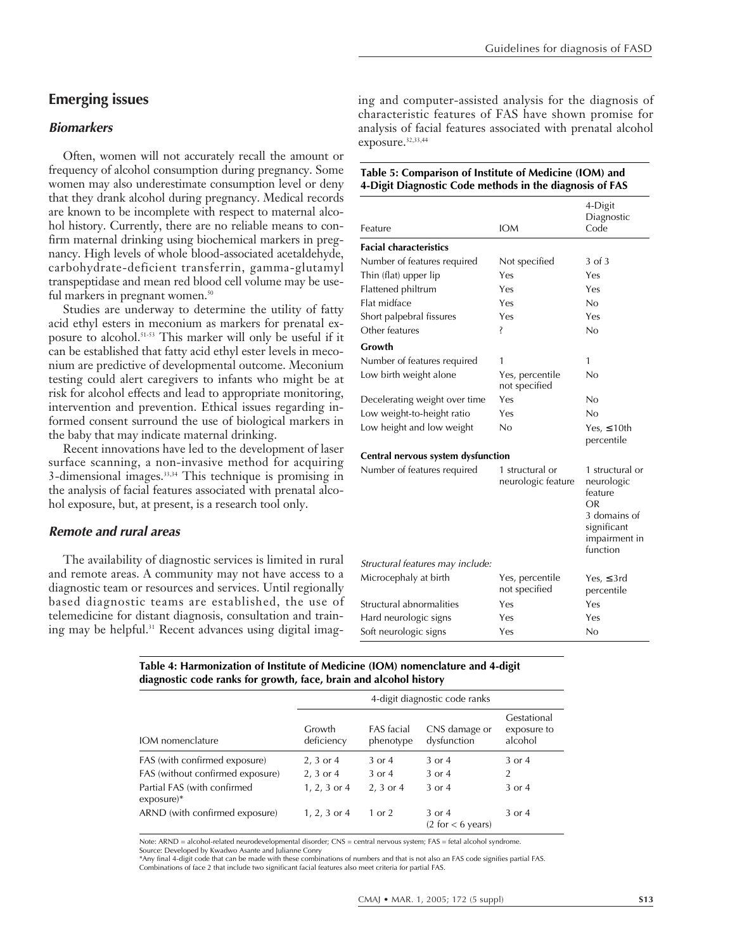# **Emerging issues**

### **Biomarkers**

Often, women will not accurately recall the amount or frequency of alcohol consumption during pregnancy. Some women may also underestimate consumption level or deny that they drank alcohol during pregnancy. Medical records are known to be incomplete with respect to maternal alcohol history. Currently, there are no reliable means to confirm maternal drinking using biochemical markers in pregnancy. High levels of whole blood-associated acetaldehyde, carbohydrate-deficient transferrin, gamma-glutamyl transpeptidase and mean red blood cell volume may be useful markers in pregnant women.<sup>50</sup>

Studies are underway to determine the utility of fatty acid ethyl esters in meconium as markers for prenatal exposure to alcohol.51-53 This marker will only be useful if it can be established that fatty acid ethyl ester levels in meconium are predictive of developmental outcome. Meconium testing could alert caregivers to infants who might be at risk for alcohol effects and lead to appropriate monitoring, intervention and prevention. Ethical issues regarding informed consent surround the use of biological markers in the baby that may indicate maternal drinking.

Recent innovations have led to the development of laser surface scanning, a non-invasive method for acquiring 3-dimensional images.33,34 This technique is promising in the analysis of facial features associated with prenatal alcohol exposure, but, at present, is a research tool only.

# **Remote and rural areas**

The availability of diagnostic services is limited in rural and remote areas. A community may not have access to a diagnostic team or resources and services. Until regionally based diagnostic teams are established, the use of telemedicine for distant diagnosis, consultation and training may be helpful.<sup>31</sup> Recent advances using digital imaging and computer-assisted analysis for the diagnosis of characteristic features of FAS have shown promise for analysis of facial features associated with prenatal alcohol exposure.<sup>32,33,44</sup>

### **Table 5: Comparison of Institute of Medicine (IOM) and 4-Digit Diagnostic Code methods in the diagnosis of FAS**

| Feature                            | <b>IOM</b>                            | 4-Digit<br>Diagnostic<br>Code                                                                              |
|------------------------------------|---------------------------------------|------------------------------------------------------------------------------------------------------------|
| <b>Facial characteristics</b>      |                                       |                                                                                                            |
| Number of features required        | Not specified                         | 3 of 3                                                                                                     |
| Thin (flat) upper lip              | Yes                                   | <b>Yes</b>                                                                                                 |
| Flattened philtrum                 | Yes                                   | <b>Yes</b>                                                                                                 |
| Flat midface                       | Yes                                   | No                                                                                                         |
| Short palpebral fissures           | Yes                                   | <b>Yes</b>                                                                                                 |
| Other features                     | Ş                                     | No                                                                                                         |
| Growth                             |                                       |                                                                                                            |
| Number of features required        | 1                                     | 1                                                                                                          |
| Low birth weight alone             | Yes, percentile<br>not specified      | No                                                                                                         |
| Decelerating weight over time      | Yes                                   | No                                                                                                         |
| Low weight-to-height ratio         | Yes                                   | No                                                                                                         |
| Low height and low weight          | No                                    | Yes, $\leq 10$ th<br>percentile                                                                            |
| Central nervous system dysfunction |                                       |                                                                                                            |
| Number of features required        | 1 structural or<br>neurologic feature | 1 structural or<br>neurologic<br>feature<br>OR<br>3 domains of<br>significant<br>impairment in<br>function |
| Structural features may include:   |                                       |                                                                                                            |
| Microcephaly at birth              | Yes, percentile                       | Yes. $\leq 3$ rd                                                                                           |

| Microcephaly at birth    | Yes, percentile<br>not specified | Yes, $\leq$ 3rd<br>percentile |
|--------------------------|----------------------------------|-------------------------------|
| Structural abnormalities | Yes                              | Yes                           |
| Hard neurologic signs    | Yes                              | Yes                           |
| Soft neurologic signs    | Yes                              | No                            |

**Table 4: Harmonization of Institute of Medicine (IOM) nomenclature and 4-digit diagnostic code ranks for growth, face, brain and alcohol history**

|                                             | 4-digit diagnostic code ranks |                                |                                               |                                       |  |  |
|---------------------------------------------|-------------------------------|--------------------------------|-----------------------------------------------|---------------------------------------|--|--|
| IOM nomenclature                            | Growth<br>deficiency          | <b>FAS</b> facial<br>phenotype | CNS damage or<br>dysfunction                  | Gestational<br>exposure to<br>alcohol |  |  |
| FAS (with confirmed exposure)               | 2, 3 or 4                     | $3$ or $4$                     | 3 or 4                                        | $3$ or $4$                            |  |  |
| FAS (without confirmed exposure)            | 2, 3 or 4                     | 3 or 4                         | 3 or 4                                        | 2                                     |  |  |
| Partial FAS (with confirmed<br>$exposure)*$ | $1, 2, 3$ or $4$              | 2, 3 or 4                      | $3$ or $4$                                    | 3 or 4                                |  |  |
| ARND (with confirmed exposure)              | $1, 2, 3$ or $4$              | 1 or 2                         | 3 or 4<br>$(2 \text{ for} < 6 \text{ years})$ | 3 or 4                                |  |  |

Note: ARND = alcohol-related neurodevelopmental disorder; CNS = central nervous system; FAS = fetal alcohol syndrome.

Source: Developed by Kwadwo Asante and Julianne Conry

\*Any final 4-digit code that can be made with these combinations of numbers and that is not also an FAS code signifies partial FAS. Combinations of face 2 that include two significant facial features also meet criteria for partial FAS.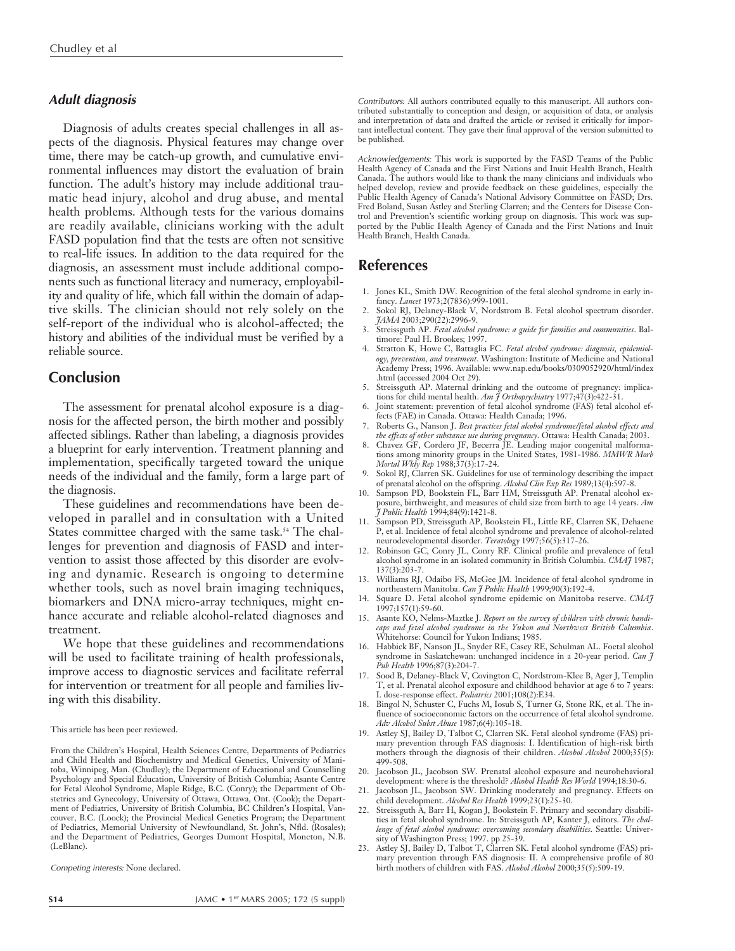### **Adult diagnosis**

Diagnosis of adults creates special challenges in all aspects of the diagnosis. Physical features may change over time, there may be catch-up growth, and cumulative environmental influences may distort the evaluation of brain function. The adult's history may include additional traumatic head injury, alcohol and drug abuse, and mental health problems. Although tests for the various domains are readily available, clinicians working with the adult FASD population find that the tests are often not sensitive to real-life issues. In addition to the data required for the diagnosis, an assessment must include additional components such as functional literacy and numeracy, employability and quality of life, which fall within the domain of adaptive skills. The clinician should not rely solely on the self-report of the individual who is alcohol-affected; the history and abilities of the individual must be verified by a reliable source.

# **Conclusion**

The assessment for prenatal alcohol exposure is a diagnosis for the affected person, the birth mother and possibly affected siblings. Rather than labeling, a diagnosis provides a blueprint for early intervention. Treatment planning and implementation, specifically targeted toward the unique needs of the individual and the family, form a large part of the diagnosis.

These guidelines and recommendations have been developed in parallel and in consultation with a United States committee charged with the same task.<sup>54</sup> The challenges for prevention and diagnosis of FASD and intervention to assist those affected by this disorder are evolving and dynamic. Research is ongoing to determine whether tools, such as novel brain imaging techniques, biomarkers and DNA micro-array techniques, might enhance accurate and reliable alcohol-related diagnoses and treatment.

We hope that these guidelines and recommendations will be used to facilitate training of health professionals, improve access to diagnostic services and facilitate referral for intervention or treatment for all people and families living with this disability.

Competing interests*:* None declared.

Contributors*:* All authors contributed equally to this manuscript. All authors contributed substantially to conception and design, or acquisition of data, or analysis and interpretation of data and drafted the article or revised it critically for important intellectual content. They gave their final approval of the version submitted to be published.

Acknowledgements*:* This work is supported by the FASD Teams of the Public Health Agency of Canada and the First Nations and Inuit Health Branch, Health Canada. The authors would like to thank the many clinicians and individuals who helped develop, review and provide feedback on these guidelines, especially the Public Health Agency of Canada's National Advisory Committee on FASD; Drs. Fred Boland, Susan Astley and Sterling Clarren; and the Centers for Disease Control and Prevention's scientific working group on diagnosis. This work was supported by the Public Health Agency of Canada and the First Nations and Inuit Health Branch, Health Canada.

# **References**

- 1. Jones KL, Smith DW. Recognition of the fetal alcohol syndrome in early infancy. *Lancet* 1973;2(7836):999-1001.
- Sokol RJ, Delaney-Black V, Nordstrom B. Fetal alcohol spectrum disorder. *JAMA* 2003;290(22):2996-9.
- 3. Streissguth AP. *Fetal alcohol syndrome: a guide for families and communities*. Baltimore: Paul H. Brookes; 1997.
- 4. Stratton K, Howe C, Battaglia FC. *Fetal alcohol syndrome: diagnosis, epidemiology, prevention, and treatment*. Washington: Institute of Medicine and National Academy Press; 1996. Available: www.nap.edu/books/0309052920/html/index .html (accessed 2004 Oct 29).
- 5. Streissguth AP. Maternal drinking and the outcome of pregnancy: implications for child mental health. *Am J Orthopsychiatry* 1977;47(3):422-31.
- 6. Joint statement: prevention of fetal alcohol syndrome (FAS) fetal alcohol effects (FAE) in Canada. Ottawa: Health Canada; 1996.
- 7. Roberts G., Nanson J. *Best practices fetal alcohol syndrome/fetal alcohol effects and the effects of other substance use during pregnancy*. Ottawa: Health Canada; 2003. 8. Chavez GF, Cordero JF, Becerra JE. Leading major congenital malforma-
- tions among minority groups in the United States, 1981-1986. *MMWR Morb Mortal Wkly Rep* 1988;37(3):17-24.
- 9. Sokol RJ, Clarren SK. Guidelines for use of terminology describing the impact of prenatal alcohol on the offspring. *Alcohol Clin Exp Res* 1989;13(4):597-8.
- 10. Sampson PD, Bookstein FL, Barr HM, Streissguth AP. Prenatal alcohol exposure, birthweight, and measures of child size from birth to age 14 years. *Am J Public Health* 1994;84(9):1421-8.
- 11. Sampson PD, Streissguth AP, Bookstein FL, Little RE, Clarren SK, Dehaene P, et al. Incidence of fetal alcohol syndrome and prevalence of alcohol-related neurodevelopmental disorder. *Teratology* 1997;56(5):317-26.
- 12. Robinson GC, Conry JL, Conry RF. Clinical profile and prevalence of fetal alcohol syndrome in an isolated community in British Columbia. *CMAJ* 1987; 137(3):203-7.
- 13. Williams RJ, Odaibo FS, McGee JM. Incidence of fetal alcohol syndrome in northeastern Manitoba. *Can J Public Health* 1999;90(3):192-4.
- 14. Square D. Fetal alcohol syndrome epidemic on Manitoba reserve. *CMAJ* 1997;157(1):59-60.
- 15. Asante KO, Nelms-Maztke J. *Report on the survey of children with chronic handicaps and fetal alcohol syndrome in the Yukon and Northwest British Columbia*. Whitehorse: Council for Yukon Indians; 1985.
- 16. Habbick BF, Nanson JL, Snyder RE, Casey RE, Schulman AL. Foetal alcohol syndrome in Saskatchewan: unchanged incidence in a 20-year period. *Can J Pub Health* 1996;87(3):204-7.
- 17. Sood B, Delaney-Black V, Covington C, Nordstrom-Klee B, Ager J, Templin T, et al. Prenatal alcohol exposure and childhood behavior at age 6 to 7 years: I. dose-response effect. *Pediatrics* 2001;108(2):E34.
- 18. Bingol N, Schuster C, Fuchs M, Iosub S, Turner G, Stone RK, et al. The influence of socioeconomic factors on the occurrence of fetal alcohol syndrome. *Adv Alcohol Subst Abuse* 1987;6(4):105-18.
- 19. Astley SJ, Bailey D, Talbot C, Clarren SK. Fetal alcohol syndrome (FAS) primary prevention through FAS diagnosis: I. Identification of high-risk birth mothers through the diagnosis of their children. *Alcohol Alcohol* 2000;35(5): 499-508.
- 20. Jacobson JL, Jacobson SW. Prenatal alcohol exposure and neurobehavioral development: where is the threshold? *Alcohol Health Res World* 1994;18:30-6. 21. Jacobson JL, Jacobson SW. Drinking moderately and pregnancy. Effects on
- child development. *Alcohol Res Health* 1999;23(1):25-30.
- Streissguth A, Barr H, Kogan J, Bookstein F. Primary and secondary disabilities in fetal alcohol syndrome. In: Streissguth AP, Kanter J, editors. *The challenge of fetal alcohol syndrome: overcoming secondary disabilities*. Seattle: University of Washington Press; 1997. pp 25-39.
- 23. Astley SJ, Bailey D, Talbot T, Clarren SK. Fetal alcohol syndrome (FAS) primary prevention through FAS diagnosis: II. A comprehensive profile of 80 birth mothers of children with FAS. *Alcohol Alcohol* 2000;35(5):509-19.

This article has been peer reviewed.

From the Children's Hospital, Health Sciences Centre, Departments of Pediatrics and Child Health and Biochemistry and Medical Genetics, University of Manitoba, Winnipeg, Man. (Chudley); the Department of Educational and Counselling Psychology and Special Education, University of British Columbia; Asante Centre for Fetal Alcohol Syndrome, Maple Ridge, B.C. (Conry); the Department of Obstetrics and Gynecology, University of Ottawa, Ottawa, Ont. (Cook); the Department of Pediatrics, University of British Columbia, BC Children's Hospital, Vancouver, B.C. (Loock); the Provincial Medical Genetics Program; the Department of Pediatrics, Memorial University of Newfoundland, St. John's, Nfld. (Rosales); and the Department of Pediatrics, Georges Dumont Hospital, Moncton, N.B. (LeBlanc).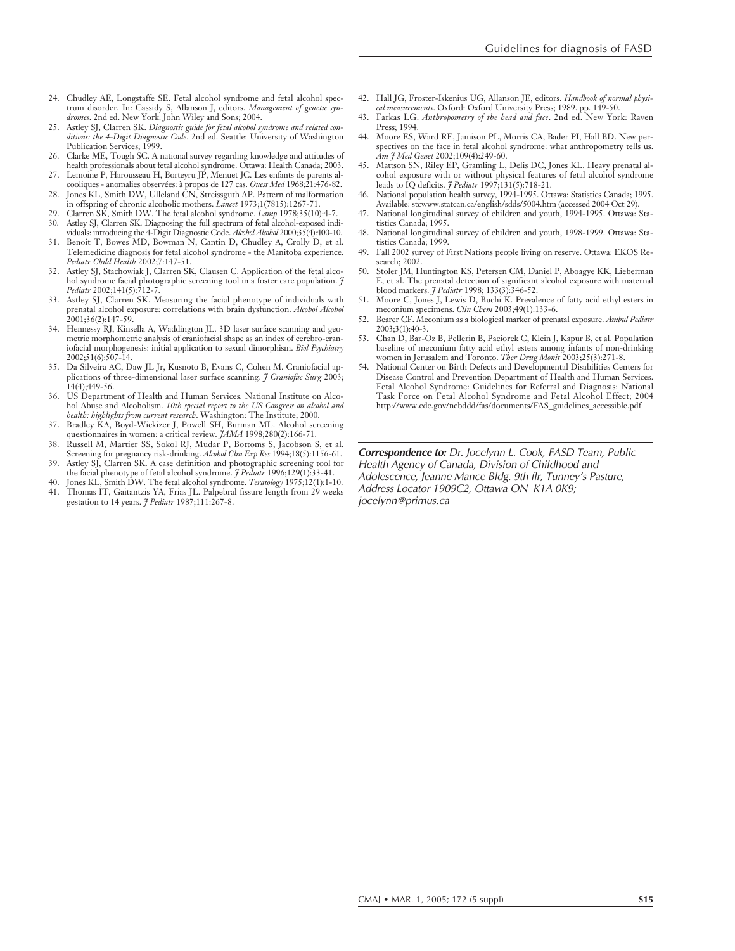- 24. Chudley AE, Longstaffe SE. Fetal alcohol syndrome and fetal alcohol spectrum disorder. In: Cassidy S, Allanson J, editors. *Management of genetic syndromes*. 2nd ed. New York: John Wiley and Sons; 2004.
- 25. Astley SJ, Clarren SK. *Diagnostic guide for fetal alcohol syndrome and related conditions: the 4-Digit Diagnostic Code*. 2nd ed. Seattle: University of Washington Publication Services; 1999.
- 26. Clarke ME, Tough SC. A national survey regarding knowledge and attitudes of health professionals about fetal alcohol syndrome. Ottawa: Health Canada; 2003.
- 27. Lemoine P, Harousseau H, Borteyru JP, Menuet JC. Les enfants de parents alcooliques - anomalies observées: à propos de 127 cas. *Ouest Med* 1968;21:476-82. 28. Jones KL, Smith DW, Ulleland CN, Streissguth AP. Pattern of malformation
- in offspring of chronic alcoholic mothers. *Lancet* 1973;1(7815):1267-71.
- 29. Clarren SK, Smith DW. The fetal alcohol syndrome. *Lamp* 1978;35(10):4-7. 30. Astley SJ, Clarren SK. Diagnosing the full spectrum of fetal alcohol-exposed indi-
- viduals: introducing the 4-Digit Diagnostic Code. *Alcohol Alcohol* 2000;35(4):400-10. 31. Benoit T, Bowes MD, Bowman N, Cantin D, Chudley A, Crolly D, et al. Telemedicine diagnosis for fetal alcohol syndrome - the Manitoba experience. *Pediatr Child Health* 2002;7:147-51.
- 32. Astley SJ, Stachowiak J, Clarren SK, Clausen C. Application of the fetal alcohol syndrome facial photographic screening tool in a foster care population. *J Pediatr* 2002;141(5):712-7.
- 33. Astley SJ, Clarren SK. Measuring the facial phenotype of individuals with prenatal alcohol exposure: correlations with brain dysfunction. *Alcohol Alcohol* 2001;36(2):147-59.
- 34. Hennessy RJ, Kinsella A, Waddington JL. 3D laser surface scanning and geometric morphometric analysis of craniofacial shape as an index of cerebro-craniofacial morphogenesis: initial application to sexual dimorphism. *Biol Psychiatry* 2002;51(6):507-14.
- 35. Da Silveira AC, Daw JL Jr, Kusnoto B, Evans C, Cohen M. Craniofacial applications of three-dimensional laser surface scanning. *J Craniofac Surg* 2003; 14(4);449-56.
- 36. US Department of Health and Human Services. National Institute on Alcohol Abuse and Alcoholism. *10th special report to the US Congress on alcohol and health: highlights from current research*. Washington: The Institute; 2000.
- 37. Bradley KA, Boyd-Wickizer J, Powell SH, Burman ML. Alcohol screening questionnaires in women: a critical review. *JAMA* 1998;280(2):166-71.
- 38. Russell M, Martier SS, Sokol RJ, Mudar P, Bottoms S, Jacobson S, et al. Screening for pregnancy risk-drinking. *Alcohol Clin Exp Res* 1994;18(5):1156-61.
- 39. Astley SJ, Clarren SK. A case definition and photographic screening tool for the facial phenotype of fetal alcohol syndrome. *J Pediatr* 1996;129(1):33-41.
- 40. Jones KL, Smith DW. The fetal alcohol syndrome. *Teratology* 1975;12(1):1-10. 41. Thomas IT, Gaitantzis YA, Frias JL. Palpebral fissure length from 29 weeks gestation to 14 years. *J Pediatr* 1987;111:267-8.
- 42. Hall JG, Froster-Iskenius UG, Allanson JE, editors. *Handbook of normal physical measurements*. Oxford: Oxford University Press; 1989. pp. 149-50.
- 43. Farkas LG. *Anthropometry of the head and face*. 2nd ed. New York: Raven Press; 1994.
- 44. Moore ES, Ward RE, Jamison PL, Morris CA, Bader PI, Hall BD. New perspectives on the face in fetal alcohol syndrome: what anthropometry tells us. *Am J Med Genet* 2002;109(4):249-60.
- 45. Mattson SN, Riley EP, Gramling L, Delis DC, Jones KL. Heavy prenatal alcohol exposure with or without physical features of fetal alcohol syndrome leads to IQ deficits. *J Pediatr* 1997;131(5):718-21.
- 46. National population health survey, 1994-1995. Ottawa: Statistics Canada; 1995. Available: stcwww.statcan.ca/english/sdds/5004.htm (accessed 2004 Oct 29).
- 47. National longitudinal survey of children and youth, 1994-1995. Ottawa: Statistics Canada; 1995.
- 48. National longitudinal survey of children and youth, 1998-1999. Ottawa: Statistics Canada; 1999.
- 49. Fall 2002 survey of First Nations people living on reserve. Ottawa: EKOS Research; 2002.
- 50. Stoler JM, Huntington KS, Petersen CM, Daniel P, Aboagye KK, Lieberman E, et al. The prenatal detection of significant alcohol exposure with maternal blood markers. *J Pediatr* 1998; 133(3):346-52.
- 51. Moore C, Jones J, Lewis D, Buchi K. Prevalence of fatty acid ethyl esters in meconium specimens. *Clin Chem* 2003;49(1):133-6.
- 52. Bearer CF. Meconium as a biological marker of prenatal exposure. *Ambul Pediatr* 2003;3(1):40-3.
- 53. Chan D, Bar-Oz B, Pellerin B, Paciorek C, Klein J, Kapur B, et al. Population baseline of meconium fatty acid ethyl esters among infants of non-drinking women in Jerusalem and Toronto. *Ther Drug Monit* 2003;25(3):271-8.
- National Center on Birth Defects and Developmental Disabilities Centers for Disease Control and Prevention Department of Health and Human Services. Fetal Alcohol Syndrome: Guidelines for Referral and Diagnosis: National Task Force on Fetal Alcohol Syndrome and Fetal Alcohol Effect; 2004 http://www.cdc.gov/ncbddd/fas/documents/FAS\_guidelines\_accessible.pdf

**Correspondence to:** Dr. Jocelynn L. Cook, FASD Team, Public Health Agency of Canada, Division of Childhood and Adolescence, Jeanne Mance Bldg. 9th flr, Tunney's Pasture, Address Locator 1909C2, Ottawa ON K1A 0K9; jocelynn@primus.ca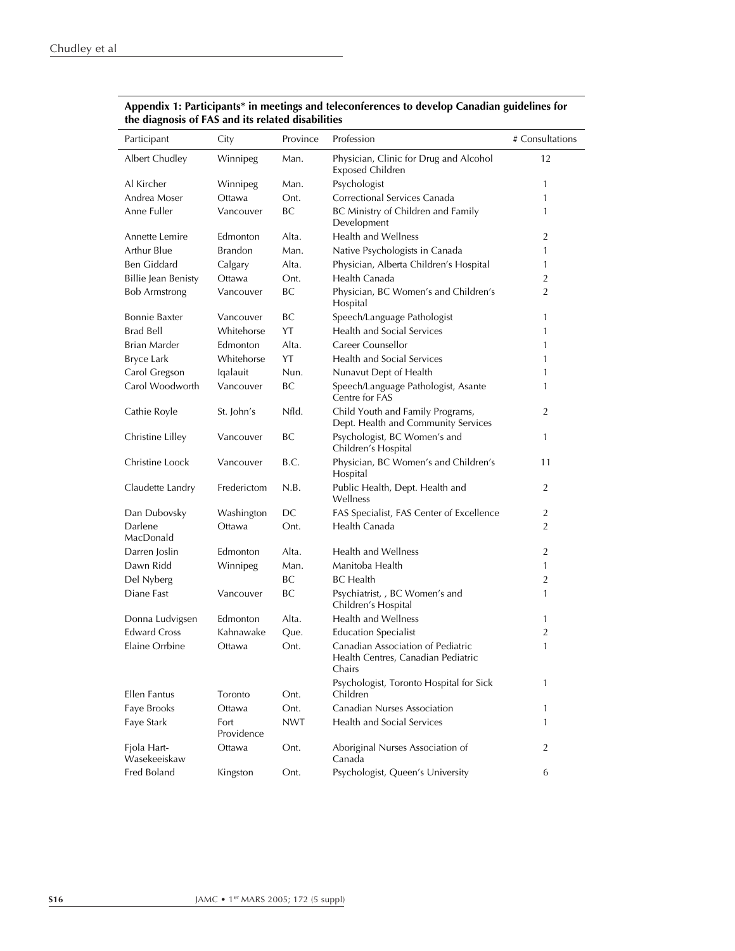| Participant                 | City               | Province   | Profession                                                                        | # Consultations |
|-----------------------------|--------------------|------------|-----------------------------------------------------------------------------------|-----------------|
| Albert Chudley              | Winnipeg           | Man.       | Physician, Clinic for Drug and Alcohol<br><b>Exposed Children</b>                 | 12              |
| Al Kircher                  | Winnipeg           | Man.       | Psychologist                                                                      | 1               |
| Andrea Moser                | Ottawa             | Ont.       | Correctional Services Canada                                                      | $\mathbf{1}$    |
| Anne Fuller                 | Vancouver          | <b>BC</b>  | BC Ministry of Children and Family<br>Development                                 | $\mathbf{1}$    |
| Annette Lemire              | Edmonton           | Alta.      | Health and Wellness                                                               | 2               |
| Arthur Blue                 | <b>Brandon</b>     | Man.       | Native Psychologists in Canada                                                    | 1               |
| Ben Giddard                 | Calgary            | Alta.      | Physician, Alberta Children's Hospital                                            | 1               |
| <b>Billie Jean Benisty</b>  | Ottawa             | Ont.       | Health Canada                                                                     | 2               |
| <b>Bob Armstrong</b>        | Vancouver          | ВC         | Physician, BC Women's and Children's<br>Hospital                                  | 2               |
| <b>Bonnie Baxter</b>        | Vancouver          | ВC         | Speech/Language Pathologist                                                       | 1               |
| <b>Brad Bell</b>            | Whitehorse         | YT         | Health and Social Services                                                        | 1               |
| Brian Marder                | Edmonton           | Alta.      | Career Counsellor                                                                 | $\mathbf{1}$    |
| Bryce Lark                  | Whitehorse         | YT         | Health and Social Services                                                        | 1               |
| Carol Gregson               | Iqalauit           | Nun.       | Nunavut Dept of Health                                                            | 1               |
| Carol Woodworth             | Vancouver          | BC         | Speech/Language Pathologist, Asante<br>Centre for FAS                             | 1               |
| Cathie Royle                | St. John's         | Nfld.      | Child Youth and Family Programs,<br>Dept. Health and Community Services           | 2               |
| Christine Lilley            | Vancouver          | ВC         | Psychologist, BC Women's and<br>Children's Hospital                               | $\mathbf{1}$    |
| Christine Loock             | Vancouver          | B.C.       | Physician, BC Women's and Children's<br>Hospital                                  | 11              |
| Claudette Landry            | Frederictom        | N.B.       | Public Health, Dept. Health and<br>Wellness                                       | $\overline{2}$  |
| Dan Dubovsky                | Washington         | DC         | FAS Specialist, FAS Center of Excellence                                          | $\overline{2}$  |
| Darlene<br>MacDonald        | Ottawa             | Ont.       | Health Canada                                                                     | $\overline{2}$  |
| Darren Joslin               | Edmonton           | Alta.      | Health and Wellness                                                               | $\overline{2}$  |
| Dawn Ridd                   | Winnipeg           | Man.       | Manitoba Health                                                                   | 1               |
| Del Nyberg                  |                    | ВC         | <b>BC</b> Health                                                                  | $\overline{2}$  |
| Diane Fast                  | Vancouver          | ВC         | Psychiatrist, , BC Women's and<br>Children's Hospital                             | $\mathbf{1}$    |
| Donna Ludvigsen             | Edmonton           | Alta.      | Health and Wellness                                                               | $\mathbf{1}$    |
| <b>Edward Cross</b>         | Kahnawake          | Que.       | <b>Education Specialist</b>                                                       | 2               |
| Elaine Orrbine              | Ottawa             | Ont.       | Canadian Association of Pediatric<br>Health Centres, Canadian Pediatric<br>Chairs | 1               |
| Ellen Fantus                | Toronto            | Ont.       | Psychologist, Toronto Hospital for Sick<br>Children                               | 1               |
| Faye Brooks                 | Ottawa             | Ont.       | Canadian Nurses Association                                                       | 1               |
| Faye Stark                  | Fort<br>Providence | <b>NWT</b> | Health and Social Services                                                        | 1               |
| Fjola Hart-<br>Wasekeeiskaw | Ottawa             | Ont.       | Aboriginal Nurses Association of<br>Canada                                        | 2               |
| Fred Boland                 | Kingston           | Ont.       | Psychologist, Queen's University                                                  | 6               |

#### **Appendix 1: Participants\* in meetings and teleconferences to develop Canadian guidelines for the diagnosis of FAS and its related disabilities**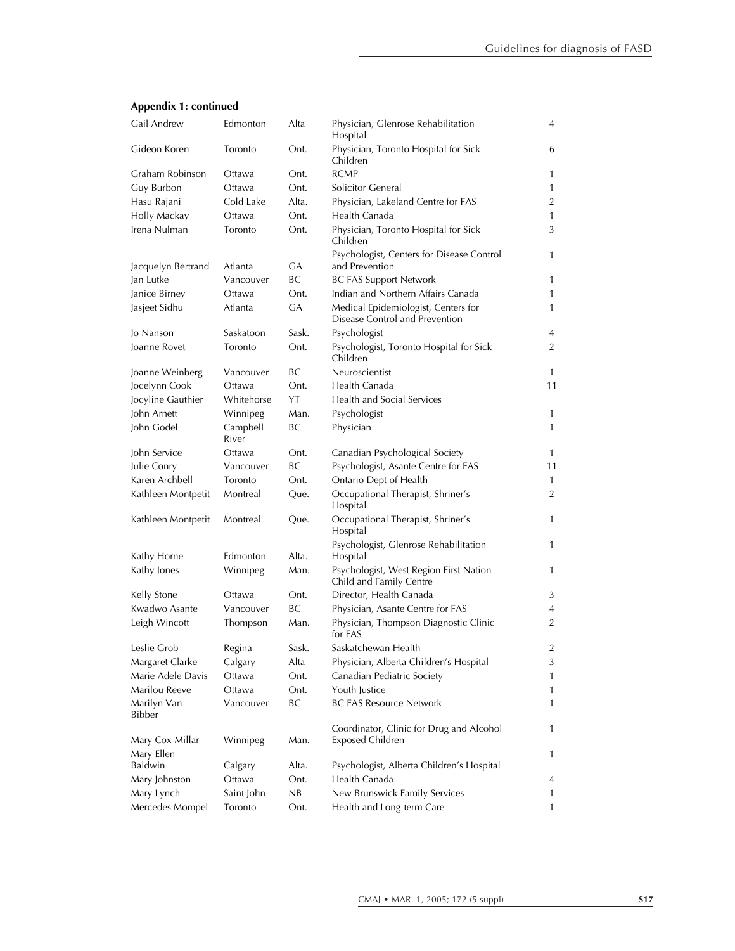| Appendix 1: continued        |                   |       |                                                                       |                |  |
|------------------------------|-------------------|-------|-----------------------------------------------------------------------|----------------|--|
| Gail Andrew                  | Edmonton          | Alta  | Physician, Glenrose Rehabilitation<br>Hospital                        | $\overline{4}$ |  |
| Gideon Koren                 | Toronto           | Ont.  | Physician, Toronto Hospital for Sick<br>Children                      | 6              |  |
| Graham Robinson              | Ottawa            | Ont.  | <b>RCMP</b>                                                           | 1              |  |
| Guy Burbon                   | Ottawa            | Ont.  | Solicitor General                                                     | 1              |  |
| Hasu Rajani                  | Cold Lake         | Alta. | Physician, Lakeland Centre for FAS                                    | $\overline{2}$ |  |
| Holly Mackay                 | Ottawa            | Ont.  | Health Canada                                                         | 1              |  |
| Irena Nulman                 | Toronto           | Ont.  | Physician, Toronto Hospital for Sick<br>Children                      | 3              |  |
|                              |                   |       | Psychologist, Centers for Disease Control                             | 1              |  |
| Jacquelyn Bertrand           | Atlanta           | GА    | and Prevention                                                        |                |  |
| Jan Lutke                    | Vancouver         | BC    | <b>BC FAS Support Network</b>                                         | 1              |  |
| Janice Birney                | Ottawa            | Ont.  | Indian and Northern Affairs Canada                                    | 1              |  |
| Jasjeet Sidhu                | Atlanta           | GА    | Medical Epidemiologist, Centers for<br>Disease Control and Prevention | 1              |  |
| Jo Nanson                    | Saskatoon         | Sask. | Psychologist                                                          | 4              |  |
| Joanne Rovet                 | Toronto           | Ont.  | Psychologist, Toronto Hospital for Sick<br>Children                   | 2              |  |
| Joanne Weinberg              | Vancouver         | BС    | Neuroscientist                                                        | 1              |  |
| Jocelynn Cook                | Ottawa            | Ont.  | Health Canada                                                         | 11             |  |
| Jocyline Gauthier            | Whitehorse        | YT    | <b>Health and Social Services</b>                                     |                |  |
| John Arnett                  | Winnipeg          | Man.  | Psychologist                                                          | 1              |  |
| John Godel                   | Campbell<br>River | BС    | Physician                                                             | 1              |  |
| John Service                 | Ottawa            | Ont.  | Canadian Psychological Society                                        | 1              |  |
| Julie Conry                  | Vancouver         | BС    | Psychologist, Asante Centre for FAS                                   | 11             |  |
| Karen Archbell               | Toronto           | Ont.  | Ontario Dept of Health                                                | 1              |  |
| Kathleen Montpetit           | Montreal          | Que.  | Occupational Therapist, Shriner's<br>Hospital                         | 2              |  |
| Kathleen Montpetit           | Montreal          | Que.  | Occupational Therapist, Shriner's<br>Hospital                         | 1              |  |
| Kathy Horne                  | Edmonton          | Alta. | Psychologist, Glenrose Rehabilitation<br>Hospital                     | 1              |  |
| Kathy Jones                  | Winnipeg          | Man.  | Psychologist, West Region First Nation<br>Child and Family Centre     | 1              |  |
| Kelly Stone                  | Ottawa            | Ont.  | Director, Health Canada                                               | 3              |  |
| Kwadwo Asante                | Vancouver         | ВC    | Physician, Asante Centre for FAS                                      | 4              |  |
| Leigh Wincott                | Thompson          | Man.  | Physician, Thompson Diagnostic Clinic<br>for FAS                      | $\overline{2}$ |  |
| Leslie Grob                  | Regina            | Sask. | Saskatchewan Health                                                   | 2              |  |
| Margaret Clarke              | Calgary           | Alta  | Physician, Alberta Children's Hospital                                | 3              |  |
| Marie Adele Davis            | Ottawa            | Ont.  | Canadian Pediatric Society                                            | 1              |  |
| Marilou Reeve                | Ottawa            | Ont.  | Youth Justice                                                         | 1              |  |
| Marilyn Van<br><b>Bibber</b> | Vancouver         | BC    | <b>BC FAS Resource Network</b>                                        | 1              |  |
| Mary Cox-Millar              | Winnipeg          | Man.  | Coordinator, Clinic for Drug and Alcohol<br>Exposed Children          | 1              |  |
| Mary Ellen<br>Baldwin        | Calgary           | Alta. | Psychologist, Alberta Children's Hospital                             | 1              |  |
| Mary Johnston                | Ottawa            | Ont.  | Health Canada                                                         | 4              |  |
| Mary Lynch                   | Saint John        | NB    | New Brunswick Family Services                                         | 1              |  |
| Mercedes Mompel              | Toronto           | Ont.  | Health and Long-term Care                                             | 1              |  |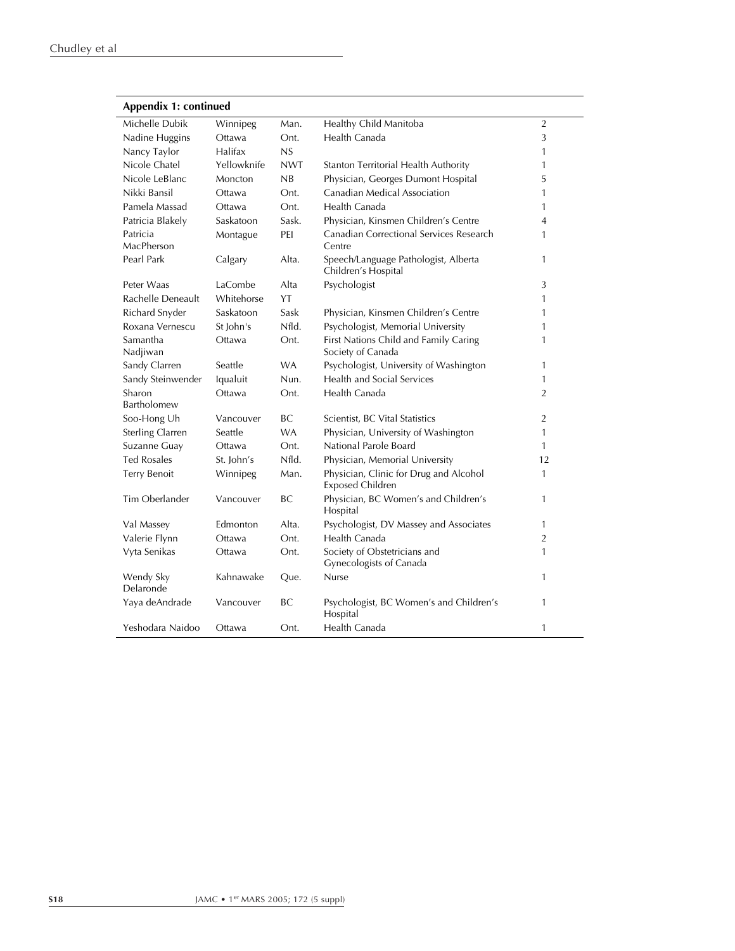| <b>Appendix 1: continued</b> |             |            |                                                                   |                |
|------------------------------|-------------|------------|-------------------------------------------------------------------|----------------|
| Michelle Dubik               | Winnipeg    | Man.       | Healthy Child Manitoba                                            | $\overline{2}$ |
| Nadine Huggins               | Ottawa      | Ont.       | Health Canada                                                     | 3              |
| Nancy Taylor                 | Halifax     | NS         |                                                                   | $\mathbf{1}$   |
| Nicole Chatel                | Yellowknife | <b>NWT</b> | Stanton Territorial Health Authority                              | 1              |
| Nicole LeBlanc               | Moncton     | NB         | Physician, Georges Dumont Hospital                                | 5              |
| Nikki Bansil                 | Ottawa      | Ont.       | Canadian Medical Association                                      | 1              |
| Pamela Massad                | Ottawa      | Ont.       | Health Canada                                                     | $\mathbf{1}$   |
| Patricia Blakely             | Saskatoon   | Sask.      | Physician, Kinsmen Children's Centre                              | 4              |
| Patricia<br>MacPherson       | Montague    | PEI        | Canadian Correctional Services Research<br>Centre                 | 1              |
| Pearl Park                   | Calgary     | Alta.      | Speech/Language Pathologist, Alberta<br>Children's Hospital       | 1              |
| Peter Waas                   | LaCombe     | Alta       | Psychologist                                                      | 3              |
| Rachelle Deneault            | Whitehorse  | YT         |                                                                   | 1              |
| Richard Snyder               | Saskatoon   | Sask       | Physician, Kinsmen Children's Centre                              | 1              |
| Roxana Vernescu              | St John's   | Nfld.      | Psychologist, Memorial University                                 | $\mathbf{1}$   |
| Samantha<br>Nadjiwan         | Ottawa      | Ont.       | First Nations Child and Family Caring<br>Society of Canada        | $\mathbf{1}$   |
| Sandy Clarren                | Seattle     | <b>WA</b>  | Psychologist, University of Washington                            | 1              |
| Sandy Steinwender            | Iqualuit    | Nun.       | <b>Health and Social Services</b>                                 | $\mathbf{1}$   |
| Sharon<br><b>Bartholomew</b> | Ottawa      | Ont.       | Health Canada                                                     | $\overline{2}$ |
| Soo-Hong Uh                  | Vancouver   | ВC         | Scientist, BC Vital Statistics                                    | $\overline{2}$ |
| Sterling Clarren             | Seattle     | <b>WA</b>  | Physician, University of Washington                               | 1              |
| Suzanne Guay                 | Ottawa      | Ont.       | National Parole Board                                             | $\mathbf{1}$   |
| <b>Ted Rosales</b>           | St. John's  | Nfld.      | Physician, Memorial University                                    | 12             |
| <b>Terry Benoit</b>          | Winnipeg    | Man.       | Physician, Clinic for Drug and Alcohol<br><b>Exposed Children</b> | 1              |
| Tim Oberlander               | Vancouver   | ВC         | Physician, BC Women's and Children's<br>Hospital                  | $\mathbf{1}$   |
| Val Massey                   | Edmonton    | Alta.      | Psychologist, DV Massey and Associates                            | $\mathbf{1}$   |
| Valerie Flynn                | Ottawa      | Ont.       | Health Canada                                                     | $\overline{2}$ |
| Vyta Senikas                 | Ottawa      | Ont.       | Society of Obstetricians and<br>Gynecologists of Canada           | $\mathbf{1}$   |
| Wendy Sky<br>Delaronde       | Kahnawake   | Que.       | Nurse                                                             | $\mathbf{1}$   |
| Yaya deAndrade               | Vancouver   | ВC         | Psychologist, BC Women's and Children's<br>Hospital               | $\mathbf{1}$   |
| Yeshodara Naidoo             | Ottawa      | Ont.       | Health Canada                                                     | 1              |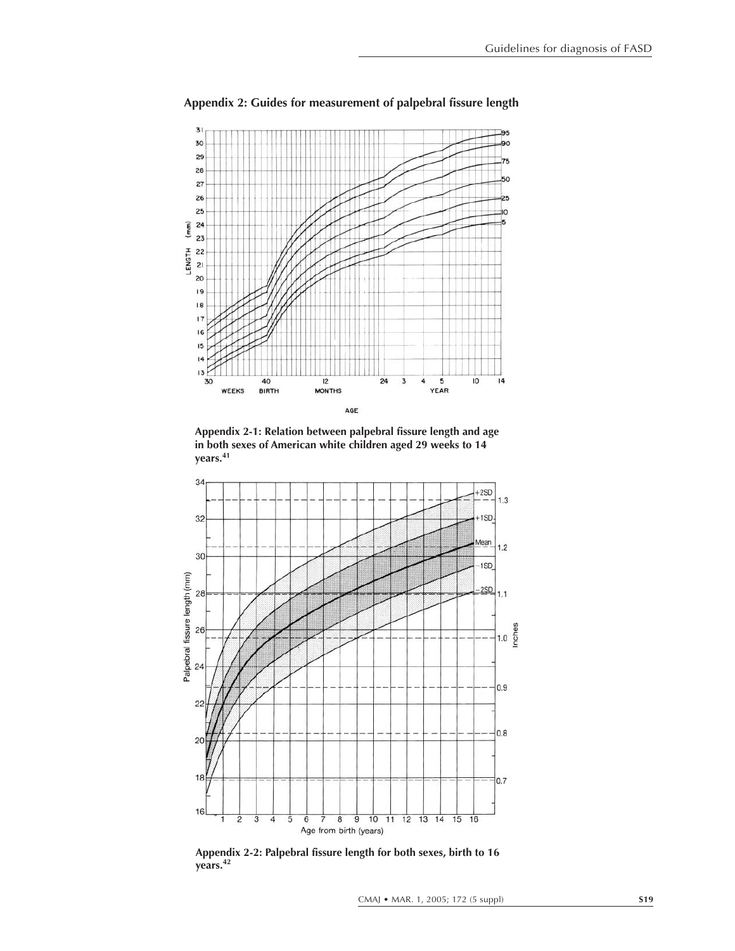

**Appendix 2: Guides for measurement of palpebral fissure length**

**Appendix 2-1: Relation between palpebral fissure length and age in both sexes of American white children aged 29 weeks to 14 years.41**



**Appendix 2-2: Palpebral fissure length for both sexes, birth to 16 years.42**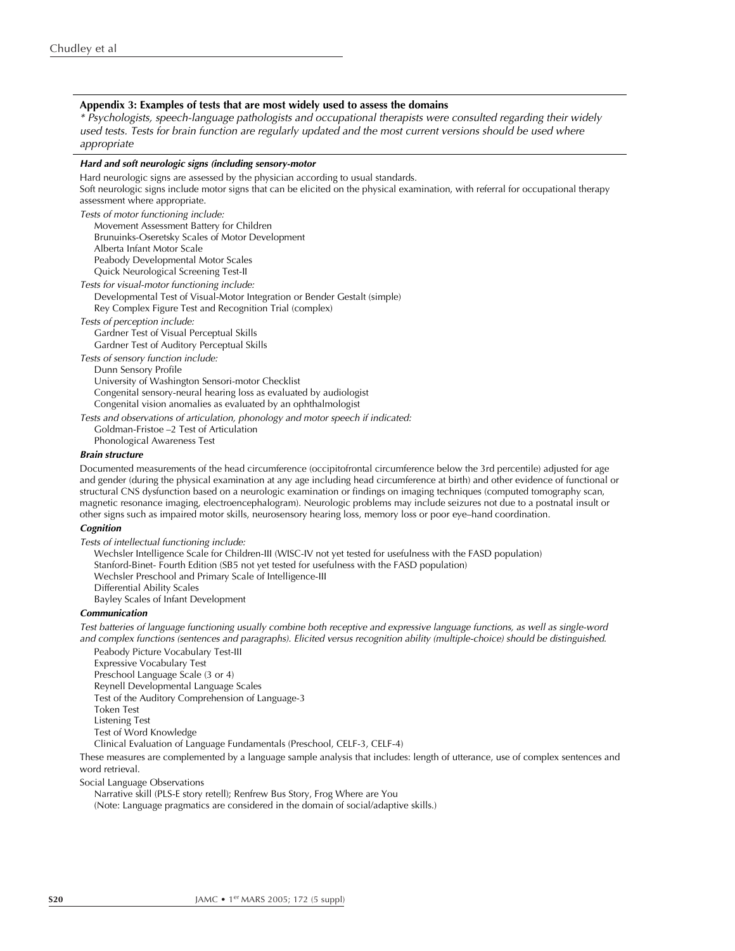#### **Appendix 3: Examples of tests that are most widely used to assess the domains**

\* Psychologists, speech-language pathologists and occupational therapists were consulted regarding their widely used tests. Tests for brain function are regularly updated and the most current versions should be used where appropriate

#### **Hard and soft neurologic signs (including sensory-motor**

Hard neurologic signs are assessed by the physician according to usual standards.

Soft neurologic signs include motor signs that can be elicited on the physical examination, with referral for occupational therapy assessment where appropriate.

Tests of motor functioning include:

Movement Assessment Battery for Children Brunuinks-Oseretsky Scales of Motor Development Alberta Infant Motor Scale Peabody Developmental Motor Scales Quick Neurological Screening Test-II

Tests for visual-motor functioning include:

Developmental Test of Visual-Motor Integration or Bender Gestalt (simple) Rey Complex Figure Test and Recognition Trial (complex)

Tests of perception include:

Gardner Test of Visual Perceptual Skills Gardner Test of Auditory Perceptual Skills

Tests of sensory function include:

Dunn Sensory Profile

University of Washington Sensori-motor Checklist Congenital sensory-neural hearing loss as evaluated by audiologist Congenital vision anomalies as evaluated by an ophthalmologist

Tests and observations of articulation, phonology and motor speech if indicated: Goldman-Fristoe –2 Test of Articulation Phonological Awareness Test

#### **Brain structure**

Documented measurements of the head circumference (occipitofrontal circumference below the 3rd percentile) adjusted for age and gender (during the physical examination at any age including head circumference at birth) and other evidence of functional or structural CNS dysfunction based on a neurologic examination or findings on imaging techniques (computed tomography scan, magnetic resonance imaging, electroencephalogram). Neurologic problems may include seizures not due to a postnatal insult or other signs such as impaired motor skills, neurosensory hearing loss, memory loss or poor eye–hand coordination.

#### **Cognition**

Tests of intellectual functioning include: Wechsler Intelligence Scale for Children-III (WISC-IV not yet tested for usefulness with the FASD population) Stanford-Binet- Fourth Edition (SB5 not yet tested for usefulness with the FASD population) Wechsler Preschool and Primary Scale of Intelligence-III Differential Ability Scales Bayley Scales of Infant Development

### **Communication**

Test batteries of language functioning usually combine both receptive and expressive language functions, as well as single-word and complex functions (sentences and paragraphs). Elicited versus recognition ability (multiple-choice) should be distinguished.

 Peabody Picture Vocabulary Test-III Expressive Vocabulary Test Preschool Language Scale (3 or 4) Reynell Developmental Language Scales Test of the Auditory Comprehension of Language-3 Token Test Listening Test Test of Word Knowledge Clinical Evaluation of Language Fundamentals (Preschool, CELF-3, CELF-4)

These measures are complemented by a language sample analysis that includes: length of utterance, use of complex sentences and word retrieval.

Social Language Observations

Narrative skill (PLS-E story retell); Renfrew Bus Story, Frog Where are You

(Note: Language pragmatics are considered in the domain of social/adaptive skills.)